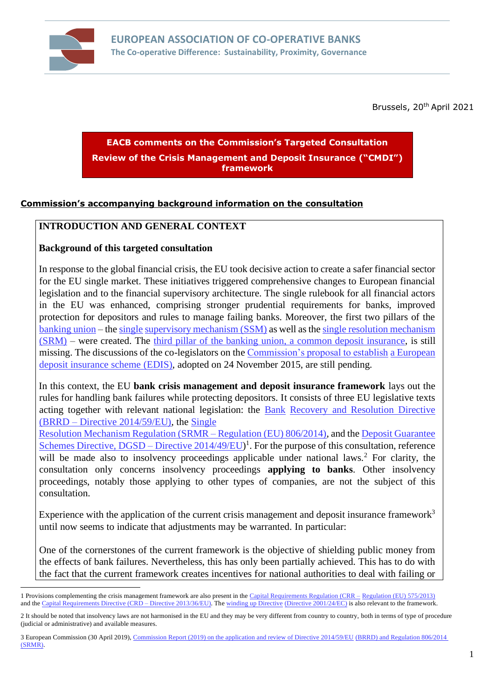

Brussels, 20<sup>th</sup> April 2021

# **EACB comments on the Commission's Targeted Consultation Review of the Crisis Management and Deposit Insurance ("CMDI") framework**

## **Commission's accompanying background information on the consultation**

#### **INTRODUCTION AND GENERAL CONTEXT**

#### **Background of this targeted consultation**

In response to the global financial crisis, the EU took decisive action to create a safer financial sector for the EU single market. These initiatives triggered comprehensive changes to European financial legislation and to the financial supervisory architecture. The single rulebook for all financial actors in the EU was enhanced, comprising stronger prudential requirements for banks, improved protection for depositors and rules to manage failing banks. Moreover, the first two pillars of the [banking union](https://ec.europa.eu/info/business-economy-euro/banking-and-finance/banking-union/what-banking-union_en) – th[e single](https://ec.europa.eu/info/business-economy-euro/banking-and-finance/banking-union/single-supervisory-mechanism_en) [supervisory mechanism](https://ec.europa.eu/info/business-economy-euro/banking-and-finance/banking-union/single-supervisory-mechanism_en) [\(SSM\)](https://ec.europa.eu/info/business-economy-euro/banking-and-finance/banking-union/single-supervisory-mechanism_en) as well as th[e single resolution mechanism](https://ec.europa.eu/info/business-economy-euro/banking-and-finance/banking-union/single-resolution-mechanism_en) [\(SRM\)](https://ec.europa.eu/info/business-economy-euro/banking-and-finance/banking-union/single-resolution-mechanism_en) – were created. The [third pillar of the banking union, a common deposit insurance,](https://ec.europa.eu/info/business-economy-euro/banking-and-finance/banking-union/european-deposit-insurance-scheme_en) is still missing. The discussions of the co-legislators on the [Commission's proposal to establish](https://eur-lex.europa.eu/legal-content/EN/TXT/?uri=CELEX:52015PC0586) [a European](https://eur-lex.europa.eu/legal-content/EN/TXT/?uri=CELEX:52015PC0586)  [deposit insurance scheme](https://eur-lex.europa.eu/legal-content/EN/TXT/?uri=CELEX:52015PC0586) [\(EDIS\),](https://eur-lex.europa.eu/legal-content/EN/TXT/?uri=CELEX:52015PC0586) adopted on 24 November 2015, are still pending.

In this context, the EU **bank crisis management and deposit insurance framework** lays out the rules for handling bank failures while protecting depositors. It consists of three EU legislative texts acting together with relevant national legislation: the [Bank](https://eur-lex.europa.eu/legal-content/EN/TXT/?uri=CELEX:32014L0059) [Recovery and Resolution Directive](https://eur-lex.europa.eu/legal-content/EN/TXT/?uri=CELEX:32014L0059)  [\(BRRD –](https://eur-lex.europa.eu/legal-content/EN/TXT/?uri=CELEX:32014L0059) [Directive 2014/59/EU\),](https://eur-lex.europa.eu/legal-content/EN/TXT/?uri=CELEX:32014L0059) the [Single](https://eur-lex.europa.eu/legal-content/EN/TXT/?uri=CELEX:32014R0806)

[Resolution Mechanism Regulation \(SRMR –](https://eur-lex.europa.eu/legal-content/EN/TXT/?uri=CELEX:32014R0806) [Regulation \(EU\) 806/2014\),](https://eur-lex.europa.eu/legal-content/EN/TXT/?uri=CELEX:32014R0806) and th[e Deposit Guarantee](https://eur-lex.europa.eu/legal-content/EN/TXT/?uri=celex%3A32014L0049)  [Schemes Directive, DGSD –](https://eur-lex.europa.eu/legal-content/EN/TXT/?uri=celex%3A32014L0049) [Directive 2014/49/EU\)](https://eur-lex.europa.eu/legal-content/EN/TXT/?uri=celex%3A32014L0049)<sup>1</sup>. For the purpose of this consultation, reference will be made also to insolvency proceedings applicable under national laws.<sup>2</sup> For clarity, the consultation only concerns insolvency proceedings **applying to banks**. Other insolvency proceedings, notably those applying to other types of companies, are not the subject of this consultation.

Experience with the application of the current crisis management and deposit insurance framework<sup>3</sup> until now seems to indicate that adjustments may be warranted. In particular:

• One of the cornerstones of the current framework is the objective of shielding public money from the effects of bank failures. Nevertheless, this has only been partially achieved. This has to do with the fact that the current framework creates incentives for national authorities to deal with failing or

<sup>1</sup> Provisions complementing the crisis management framework are also present in the [Capital Requirements Regulation \(CRR –](https://eur-lex.europa.eu/legal-content/EN/TXT/?uri=CELEX:32013R0575) [Regulation \(EU\) 575/2013\)](https://eur-lex.europa.eu/legal-content/EN/TXT/?uri=CELEX:32013R0575) and th[e Capital Requirements Directive \(CRD –](https://eur-lex.europa.eu/legal-content/EN/TXT/?uri=CELEX:32013L0036) [Directive 2013/36/EU\). T](https://eur-lex.europa.eu/legal-content/EN/TXT/?uri=CELEX:32013L0036)h[e winding up Directive](https://eur-lex.europa.eu/legal-content/EN/TXT/?uri=CELEX:32001L0024) [\(Directive 2001/24/EC\)](https://eur-lex.europa.eu/legal-content/EN/TXT/?uri=CELEX:32001L0024) [is](https://eur-lex.europa.eu/legal-content/EN/TXT/?uri=CELEX:32001L0024) also relevant to the framework.

<sup>2</sup> It should be noted that insolvency laws are not harmonised in the EU and they may be very different from country to country, both in terms of type of procedure (judicial or administrative) and available measures.

<sup>3</sup> European Commission (30 April 2019)[, Commission Report \(2019\) on the application and review of Directive 2014/59/EU](https://ec.europa.eu/transparency/regdoc/rep/1/2019/EN/COM-2019-213-F1-EN-MAIN-PART-1.PDF) [\(BRRD\) and Regulation 806/2014](https://ec.europa.eu/transparency/regdoc/rep/1/2019/EN/COM-2019-213-F1-EN-MAIN-PART-1.PDF)  [\(SRMR\).](https://ec.europa.eu/transparency/regdoc/rep/1/2019/EN/COM-2019-213-F1-EN-MAIN-PART-1.PDF)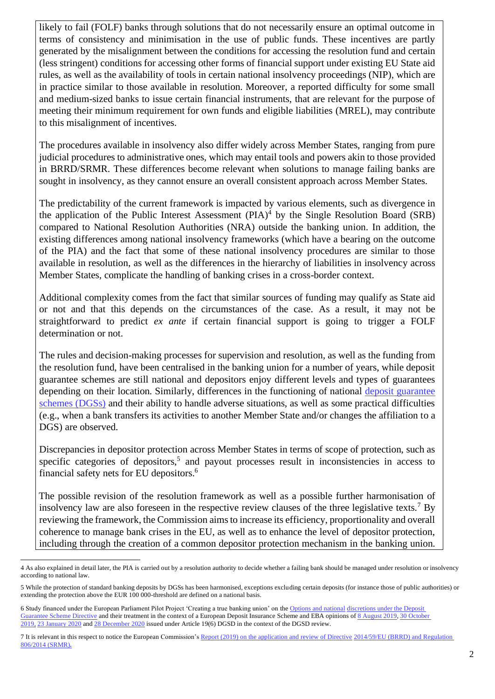likely to fail (FOLF) banks through solutions that do not necessarily ensure an optimal outcome in terms of consistency and minimisation in the use of public funds. These incentives are partly generated by the misalignment between the conditions for accessing the resolution fund and certain (less stringent) conditions for accessing other forms of financial support under existing EU State aid rules, as well as the availability of tools in certain national insolvency proceedings (NIP), which are in practice similar to those available in resolution. Moreover, a reported difficulty for some small and medium-sized banks to issue certain financial instruments, that are relevant for the purpose of meeting their minimum requirement for own funds and eligible liabilities (MREL), may contribute to this misalignment of incentives.

• The procedures available in insolvency also differ widely across Member States, ranging from pure judicial procedures to administrative ones, which may entail tools and powers akin to those provided in BRRD/SRMR. These differences become relevant when solutions to manage failing banks are sought in insolvency, as they cannot ensure an overall consistent approach across Member States.

The predictability of the current framework is impacted by various elements, such as divergence in the application of the Public Interest Assessment  $(PIA)^4$  by the Single Resolution Board (SRB) compared to National Resolution Authorities (NRA) outside the banking union. In addition, the existing differences among national insolvency frameworks (which have a bearing on the outcome of the PIA) and the fact that some of these national insolvency procedures are similar to those available in resolution, as well as the differences in the hierarchy of liabilities in insolvency across Member States, complicate the handling of banking crises in a cross-border context.

• Additional complexity comes from the fact that similar sources of funding may qualify as State aid or not and that this depends on the circumstances of the case. As a result, it may not be straightforward to predict *ex ante* if certain financial support is going to trigger a FOLF determination or not.

• The rules and decision-making processes for supervision and resolution, as well as the funding from the resolution fund, have been centralised in the banking union for a number of years, while deposit guarantee schemes are still national and depositors enjoy different levels and types of guarantees depending on their location. Similarly, differences in the functioning of national [deposit guarantee](https://ec.europa.eu/info/business-economy-euro/banking-and-finance/financial-supervision-and-risk-management/managing-risks-banks-and-financial-institutions/deposit-guarantee-schemes_en) [schemes](https://ec.europa.eu/info/business-economy-euro/banking-and-finance/financial-supervision-and-risk-management/managing-risks-banks-and-financial-institutions/deposit-guarantee-schemes_en) [\(DGSs\)](https://ec.europa.eu/info/business-economy-euro/banking-and-finance/financial-supervision-and-risk-management/managing-risks-banks-and-financial-institutions/deposit-guarantee-schemes_en) [a](https://ec.europa.eu/info/business-economy-euro/banking-and-finance/financial-supervision-and-risk-management/managing-risks-banks-and-financial-institutions/deposit-guarantee-schemes_en)nd their ability to handle adverse situations, as well as some practical difficulties (e.g., when a bank transfers its activities to another Member State and/or changes the affiliation to a DGS) are observed.

• Discrepancies in depositor protection across Member States in terms of scope of protection, such as specific categories of depositors,<sup>5</sup> and payout processes result in inconsistencies in access to financial safety nets for EU depositors.<sup>6</sup>

The possible revision of the resolution framework as well as a possible further harmonisation of insolvency law are also foreseen in the respective review clauses of the three legislative texts.<sup>7</sup> By reviewing the framework, the Commission aims to increase its efficiency, proportionality and overall coherence to manage bank crises in the EU, as well as to enhance the level of depositor protection, including through the creation of a common depositor protection mechanism in the banking union.

<sup>4</sup> As also explained in detail later, the PIA is carried out by a resolution authority to decide whether a failing bank should be managed under resolution or insolvency according to national law.

<sup>5</sup> While the protection of standard banking deposits by DGSs has been harmonised, exceptions excluding certain deposits (for instance those of public authorities) or extending the protection above the EUR 100 000-threshold are defined on a national basis.

<sup>6</sup> Study financed under the European Parliament Pilot Project 'Creating a true banking union' on th[e Options and national](https://eur-lex.europa.eu/legal-content/EN/TXT/?uri=CELEX:32014L0049) [discretions under the Deposit](https://eur-lex.europa.eu/legal-content/EN/TXT/?uri=CELEX:32014L0049)  [Guarantee Scheme Directive](https://eur-lex.europa.eu/legal-content/EN/TXT/?uri=CELEX:32014L0049) [and their treatment in the context of a European Deposit Insurance Scheme](https://eur-lex.europa.eu/legal-content/EN/TXT/?uri=CELEX:32014L0049) and EBA opinions o[f 8 August 2019,](https://eba.europa.eu/sites/default/documents/files/documents/10180/2622242/324e89ec-3523-4c5b-bd4f-e415367212bb/EBA%20Opinion%20on%20the%20eligibility%20of%20deposits%20coverage%20level%20and%20cooperation%20between%20DGSs.pdf) 30 October [2019,](https://eba.europa.eu/sites/default/documents/files/document_library/EBA%20Opinion%20on%20DGS%20Payouts.pdf) [23 January 2020](https://eba.europa.eu/sites/default/documents/files/document_library/Publications/Opinions/2020/EBA%20Opinion%20on%20DGS%20funding%20and%20uses%20of%20DGS%20funds.pdf) an[d 28 December 2020](https://www.eba.europa.eu/sites/default/documents/files/document_library/Publications/Opinions/2020/961347/EBA%20Opinion%20on%20the%20interplay%20between%20the%20AMLD%20and%20the%20DGSD.pdf) [is](https://www.eba.europa.eu/sites/default/documents/files/document_library/Publications/Opinions/2020/961347/EBA%20Opinion%20on%20the%20interplay%20between%20the%20AMLD%20and%20the%20DGSD.pdf)sued under Article 19(6) DGSD in the context of the DGSD review.

<sup>7</sup> It is relevant in this respect to notice the European Commission's [Report \(2019\) on the application and review of Directive](https://ec.europa.eu/transparency/regdoc/rep/1/2019/EN/COM-2019-213-F1-EN-MAIN-PART-1.PDF) [2014/59/EU \(BRRD\) and Regulation](https://ec.europa.eu/transparency/regdoc/rep/1/2019/EN/COM-2019-213-F1-EN-MAIN-PART-1.PDF)  [806/2014 \(SRMR\)](https://ec.europa.eu/transparency/regdoc/rep/1/2019/EN/COM-2019-213-F1-EN-MAIN-PART-1.PDF)*[.](https://ec.europa.eu/transparency/regdoc/rep/1/2019/EN/COM-2019-213-F1-EN-MAIN-PART-1.PDF)*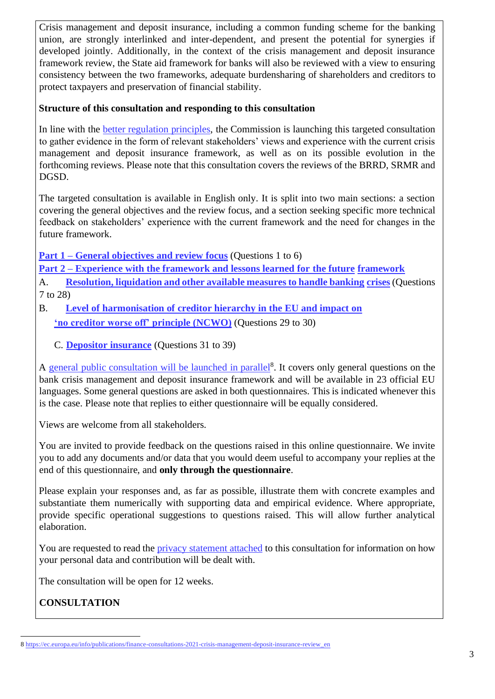Crisis management and deposit insurance, including a common funding scheme for the banking union, are strongly interlinked and inter-dependent, and present the potential for synergies if developed jointly. Additionally, in the context of the crisis management and deposit insurance framework review, the State aid framework for banks will also be reviewed with a view to ensuring consistency between the two frameworks, adequate burdensharing of shareholders and creditors to protect taxpayers and preservation of financial stability.

## **Structure of this consultation and responding to this consultation**

In line with the [better regulation principles,](https://ec.europa.eu/info/law/law-making-process/better-regulation-why-and-how_en) the Commission is launching this targeted consultation to gather evidence in the form of relevant stakeholders' views and experience with the current crisis management and deposit insurance framework, as well as on its possible evolution in the forthcoming reviews. Please note that this consultation covers the reviews of the BRRD, SRMR and DGSD.

The targeted consultation is available in English only. It is split into two main sections: a section covering the general objectives and the review focus, and a section seeking specific more technical feedback on stakeholders' experience with the current framework and the need for changes in the future framework.

**Part 1 – General objectives and review focus** (Questions 1 to 6)

**Part 2 – Experience with the framework and lessons learned for the future framework** 

A. **Resolution, liquidation and other available measures to handle banking crises**(Questions 7 to 28)

- B. **Level of harmonisation of creditor hierarchy in the EU and impact on 'no creditor worse off' principle (NCWO)** (Questions 29 to 30)
	- C. **Depositor insurance** (Questions 31 to 39)

A [general public consultation will be launched](https://ec.europa.eu/info/publications/finance-consultations-2021-crisis-management-deposit-insurance-review_en) [in parallel](https://ec.europa.eu/info/publications/finance-consultations-2021-crisis-management-deposit-insurance-review_en)<sup>8</sup>. It covers only general questions on the bank crisis management and deposit insurance framework and will be available in 23 official EU languages. Some general questions are asked in both questionnaires. This is indicated whenever this is the case. Please note that replies to either questionnaire will be equally considered.

Views are welcome from all stakeholders.

You are invited to provide feedback on the questions raised in this online questionnaire. We invite you to add any documents and/or data that you would deem useful to accompany your replies at the end of this questionnaire, and **only through the questionnaire**.

Please explain your responses and, as far as possible, illustrate them with concrete examples and substantiate them numerically with supporting data and empirical evidence. Where appropriate, provide specific operational suggestions to questions raised. This will allow further analytical elaboration.

You are requested to read the [privacy statement attached](https://ec.europa.eu/info/files/2021-crisis-management-deposit-insurance-review-targeted-specific-privacy-statement_en) to this consultation for information on how your personal data and contribution will be dealt with.

The consultation will be open for 12 weeks.

**CONSULTATION** 

<sup>8</sup> [https://ec.europa.eu/info/publications/finance-consultations-2021-crisis-management-deposit-insurance-review\\_en](https://ec.europa.eu/info/publications/finance-consultations-2021-crisis-management-deposit-insurance-review_en)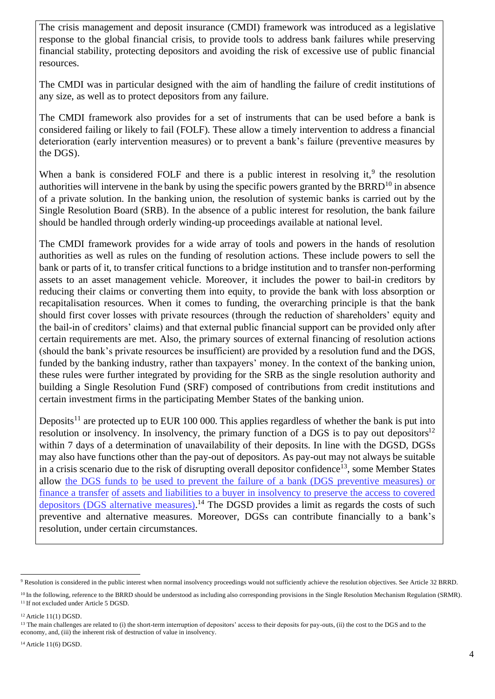The crisis management and deposit insurance (CMDI) framework was introduced as a legislative response to the global financial crisis, to provide tools to address bank failures while preserving financial stability, protecting depositors and avoiding the risk of excessive use of public financial resources.

The CMDI was in particular designed with the aim of handling the failure of credit institutions of any size, as well as to protect depositors from any failure.

The CMDI framework also provides for a set of instruments that can be used before a bank is considered failing or likely to fail (FOLF). These allow a timely intervention to address a financial deterioration (early intervention measures) or to prevent a bank's failure (preventive measures by the DGS).

When a bank is considered FOLF and there is a public interest in resolving it, $9$  the resolution authorities will intervene in the bank by using the specific powers granted by the BRRD<sup>10</sup> in absence of a private solution. In the banking union, the resolution of systemic banks is carried out by the Single Resolution Board (SRB). In the absence of a public interest for resolution, the bank failure should be handled through orderly winding-up proceedings available at national level.

The CMDI framework provides for a wide array of tools and powers in the hands of resolution authorities as well as rules on the funding of resolution actions. These include powers to sell the bank or parts of it, to transfer critical functions to a bridge institution and to transfer non-performing assets to an asset management vehicle. Moreover, it includes the power to bail-in creditors by reducing their claims or converting them into equity, to provide the bank with loss absorption or recapitalisation resources. When it comes to funding, the overarching principle is that the bank should first cover losses with private resources (through the reduction of shareholders' equity and the bail-in of creditors' claims) and that external public financial support can be provided only after certain requirements are met. Also, the primary sources of external financing of resolution actions (should the bank's private resources be insufficient) are provided by a resolution fund and the DGS, funded by the banking industry, rather than taxpayers' money. In the context of the banking union, these rules were further integrated by providing for the SRB as the single resolution authority and building a Single Resolution Fund (SRF) composed of contributions from credit institutions and certain investment firms in the participating Member States of the banking union.

Deposits<sup>11</sup> are protected up to EUR 100 000. This applies regardless of whether the bank is put into resolution or insolvency. In insolvency, the primary function of a DGS is to pay out depositors $12$ within 7 days of a determination of unavailability of their deposits. In line with the DGSD, DGSs may also have functions other than the pay-out of depositors. As pay-out may not always be suitable in a crisis scenario due to the risk of disrupting overall depositor confidence<sup>13</sup>, some Member States allow [the DGS funds to](https://eba.europa.eu/regulation-and-policy/single-rulebook/interactive-single-rulebook/4426) [be used to prevent the failure of a bank \(DGS preventive measures\) or](https://eba.europa.eu/regulation-and-policy/single-rulebook/interactive-single-rulebook/4426)  [finance a transfer](https://eba.europa.eu/regulation-and-policy/single-rulebook/interactive-single-rulebook/4426) [of assets and liabilities to a buyer in insolvency to preserve the access to covered](https://eba.europa.eu/regulation-and-policy/single-rulebook/interactive-single-rulebook/4426) [depositors](https://eba.europa.eu/regulation-and-policy/single-rulebook/interactive-single-rulebook/4426) [\(](https://eba.europa.eu/regulation-and-policy/single-rulebook/interactive-single-rulebook/4426)DGS alternative measures).<sup>14</sup> The DGSD provides a limit as regards the costs of such preventive and alternative measures. Moreover, DGSs can contribute financially to a bank's resolution, under certain circumstances.

<sup>9</sup> Resolution is considered in the public interest when normal insolvency proceedings would not sufficiently achieve the resolution objectives. See Article 32 BRRD.

<sup>&</sup>lt;sup>10</sup> In the following, reference to the BRRD should be understood as including also corresponding provisions in the Single Resolution Mechanism Regulation (SRMR). <sup>11</sup> If not excluded under Article 5 DGSD.

<sup>12</sup> Article 11(1) DGSD.

<sup>&</sup>lt;sup>13</sup> The main challenges are related to (i) the short-term interruption of depositors' access to their deposits for pay-outs, (ii) the cost to the DGS and to the economy, and, (iii) the inherent risk of destruction of value in insolvency.

<sup>14</sup> Article 11(6) DGSD.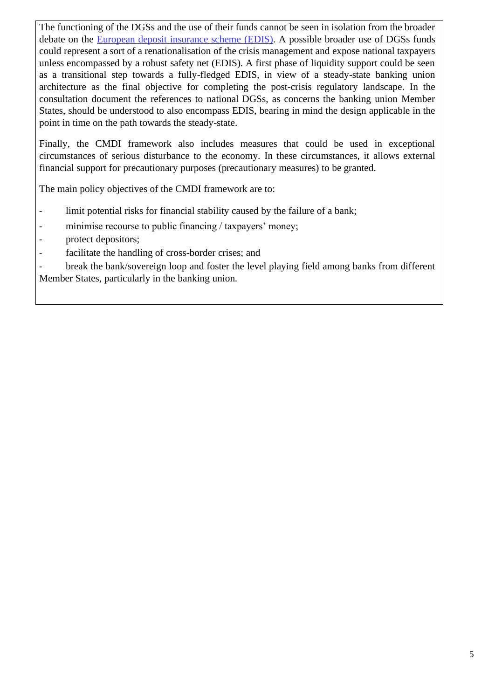The functioning of the DGSs and the use of their funds cannot be seen in isolation from the broader debate on the [European deposit insurance scheme](https://ec.europa.eu/info/business-economy-euro/banking-and-finance/banking-union/european-deposit-insurance-scheme_en) [\(EDIS\).](https://ec.europa.eu/info/business-economy-euro/banking-and-finance/banking-union/european-deposit-insurance-scheme_en) A possible broader use of DGSs funds could represent a sort of a renationalisation of the crisis management and expose national taxpayers unless encompassed by a robust safety net (EDIS). A first phase of liquidity support could be seen as a transitional step towards a fully-fledged EDIS, in view of a steady-state banking union architecture as the final objective for completing the post-crisis regulatory landscape. In the consultation document the references to national DGSs, as concerns the banking union Member States, should be understood to also encompass EDIS, bearing in mind the design applicable in the point in time on the path towards the steady-state.

Finally, the CMDI framework also includes measures that could be used in exceptional circumstances of serious disturbance to the economy. In these circumstances, it allows external financial support for precautionary purposes (precautionary measures) to be granted.

The main policy objectives of the CMDI framework are to:

- limit potential risks for financial stability caused by the failure of a bank;
- minimise recourse to public financing / taxpayers' money;
- protect depositors;
- facilitate the handling of cross-border crises; and

break the bank/sovereign loop and foster the level playing field among banks from different Member States, particularly in the banking union.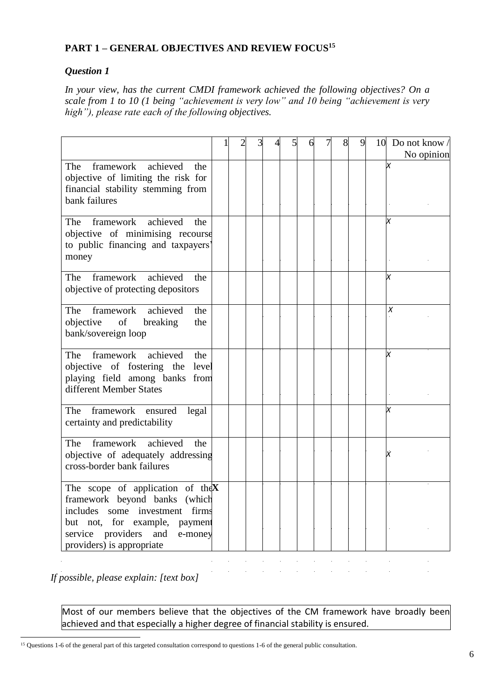# **PART 1 – GENERAL OBJECTIVES AND REVIEW FOCUS 15**

## *Question 1*

*In your view, has the current CMDI framework achieved the following objectives? On a scale from 1 to 10 (1 being "achievement is very low" and 10 being "achievement is very high"), please rate each of the following objectives.*

|                                                                                                                                                                                                                      |  | 3 |  | 6 | 8 | 9 | 10 Do not know $/$<br>No opinion |
|----------------------------------------------------------------------------------------------------------------------------------------------------------------------------------------------------------------------|--|---|--|---|---|---|----------------------------------|
| framework<br>achieved<br>The<br>the<br>objective of limiting the risk for<br>financial stability stemming from<br>bank failures                                                                                      |  |   |  |   |   |   | x                                |
| framework<br>achieved<br>The<br>the<br>objective of minimising recourse<br>to public financing and taxpayers'<br>money                                                                                               |  |   |  |   |   |   |                                  |
| framework<br>achieved<br>The<br>the<br>objective of protecting depositors                                                                                                                                            |  |   |  |   |   |   |                                  |
| achieved<br>The<br>framework<br>the<br>objective<br>of<br>breaking<br>the<br>bank/sovereign loop                                                                                                                     |  |   |  |   |   |   | Χ                                |
| achieved<br>The<br>framework<br>the<br>objective of fostering the<br>level<br>playing field among banks from<br>different Member States                                                                              |  |   |  |   |   |   | х                                |
| framework<br>The<br>ensured<br>legal<br>certainty and predictability                                                                                                                                                 |  |   |  |   |   |   | x                                |
| achieved<br>framework<br>The<br>the<br>objective of adequately addressing<br>cross-border bank failures                                                                                                              |  |   |  |   |   |   | x                                |
| The scope of application of the $X$<br>framework beyond banks<br>(which<br>includes<br>investment firms<br>some<br>but not, for example, payment<br>service providers<br>and<br>e-money<br>providers) is appropriate |  |   |  |   |   |   |                                  |

*If possible, please explain: [text box]* 

Most of our members believe that the objectives of the CM framework have broadly been achieved and that especially a higher degree of financial stability is ensured.

<sup>15</sup> Questions 1-6 of the general part of this targeted consultation correspond to questions 1-6 of the general public consultation.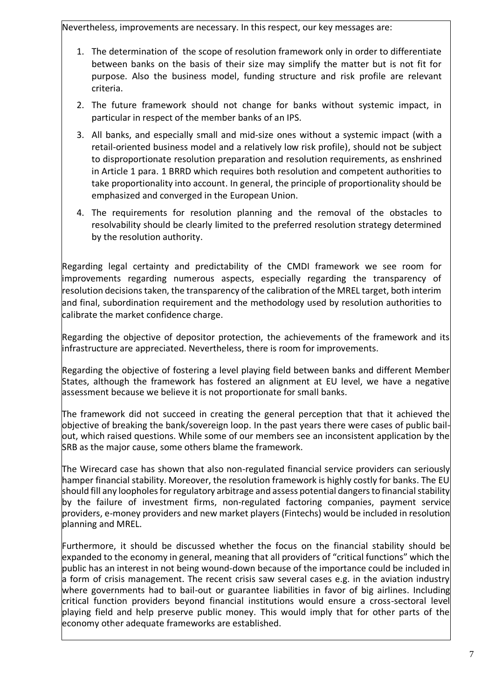Nevertheless, improvements are necessary. In this respect, our key messages are:

- 1. The determination of the scope of resolution framework only in order to differentiate between banks on the basis of their size may simplify the matter but is not fit for purpose. Also the business model, funding structure and risk profile are relevant criteria.
- 2. The future framework should not change for banks without systemic impact, in particular in respect of the member banks of an IPS.
- 3. All banks, and especially small and mid-size ones without a systemic impact (with a retail-oriented business model and a relatively low risk profile), should not be subject to disproportionate resolution preparation and resolution requirements, as enshrined in Article 1 para. 1 BRRD which requires both resolution and competent authorities to take proportionality into account. In general, the principle of proportionality should be emphasized and converged in the European Union.
- 4. The requirements for resolution planning and the removal of the obstacles to resolvability should be clearly limited to the preferred resolution strategy determined by the resolution authority.

Regarding legal certainty and predictability of the CMDI framework we see room for improvements regarding numerous aspects, especially regarding the transparency of resolution decisions taken, the transparency of the calibration of the MREL target, both interim and final, subordination requirement and the methodology used by resolution authorities to calibrate the market confidence charge.

Regarding the objective of depositor protection, the achievements of the framework and its infrastructure are appreciated. Nevertheless, there is room for improvements.

Regarding the objective of fostering a level playing field between banks and different Member States, although the framework has fostered an alignment at EU level, we have a negative assessment because we believe it is not proportionate for small banks.

The framework did not succeed in creating the general perception that that it achieved the objective of breaking the bank/sovereign loop. In the past years there were cases of public bailout, which raised questions. While some of our members see an inconsistent application by the SRB as the major cause, some others blame the framework.

The Wirecard case has shown that also non-regulated financial service providers can seriously hamper financial stability. Moreover, the resolution framework is highly costly for banks. The EU should fill any loopholes for regulatory arbitrage and assess potential dangers to financial stability by the failure of investment firms, non-regulated factoring companies, payment service providers, e-money providers and new market players (Fintechs) would be included in resolution planning and MREL.

Furthermore, it should be discussed whether the focus on the financial stability should be expanded to the economy in general, meaning that all providers of "critical functions" which the public has an interest in not being wound-down because of the importance could be included in a form of crisis management. The recent crisis saw several cases e.g. in the aviation industry where governments had to bail-out or guarantee liabilities in favor of big airlines. Including critical function providers beyond financial institutions would ensure a cross-sectoral level playing field and help preserve public money. This would imply that for other parts of the economy other adequate frameworks are established.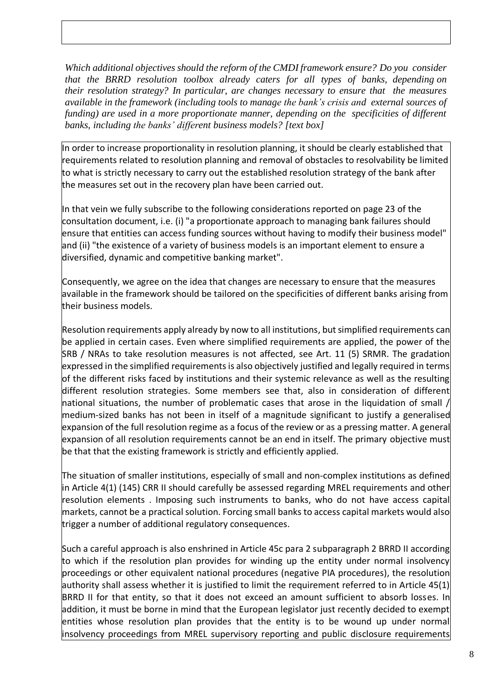*Which additional objectives should the reform of the CMDI framework ensure? Do you consider that the BRRD resolution toolbox already caters for all types of banks, depending on their resolution strategy? In particular, are changes necessary to ensure that the measures available in the framework (including tools to manage the bank's crisis and external sources of funding) are used in a more proportionate manner, depending on the specificities of different banks, including the banks' different business models? [text box]* 

In order to increase proportionality in resolution planning, it should be clearly established that requirements related to resolution planning and removal of obstacles to resolvability be limited to what is strictly necessary to carry out the established resolution strategy of the bank after the measures set out in the recovery plan have been carried out.

In that vein we fully subscribe to the following considerations reported on page 23 of the consultation document, i.e. (i) "a proportionate approach to managing bank failures should ensure that entities can access funding sources without having to modify their business model" and (ii) "the existence of a variety of business models is an important element to ensure a diversified, dynamic and competitive banking market".

Consequently, we agree on the idea that changes are necessary to ensure that the measures available in the framework should be tailored on the specificities of different banks arising from their business models.

Resolution requirements apply already by now to all institutions, but simplified requirements can be applied in certain cases. Even where simplified requirements are applied, the power of the SRB / NRAs to take resolution measures is not affected, see Art. 11 (5) SRMR. The gradation expressed in the simplified requirements is also objectively justified and legally required in terms of the different risks faced by institutions and their systemic relevance as well as the resulting different resolution strategies. Some members see that, also in consideration of different national situations, the number of problematic cases that arose in the liquidation of small / medium-sized banks has not been in itself of a magnitude significant to justify a generalised expansion of the full resolution regime as a focus of the review or as a pressing matter. A general expansion of all resolution requirements cannot be an end in itself. The primary objective must be that that the existing framework is strictly and efficiently applied.

The situation of smaller institutions, especially of small and non-complex institutions as defined in Article 4(1) (145) CRR II should carefully be assessed regarding MREL requirements and other resolution elements . Imposing such instruments to banks, who do not have access capital markets, cannot be a practical solution. Forcing small banks to access capital markets would also trigger a number of additional regulatory consequences.

Such a careful approach is also enshrined in Article 45c para 2 subparagraph 2 BRRD II according to which if the resolution plan provides for winding up the entity under normal insolvency proceedings or other equivalent national procedures (negative PIA procedures), the resolution authority shall assess whether it is justified to limit the requirement referred to in Article 45(1) BRRD II for that entity, so that it does not exceed an amount sufficient to absorb losses. In addition, it must be borne in mind that the European legislator just recently decided to exempt entities whose resolution plan provides that the entity is to be wound up under normal insolvency proceedings from MREL supervisory reporting and public disclosure requirements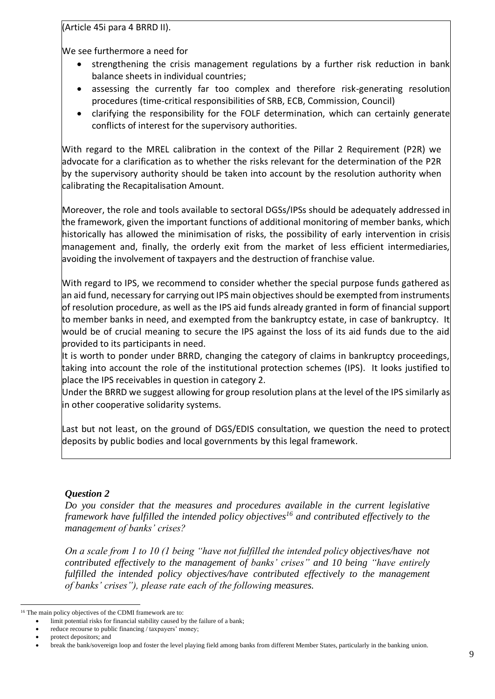(Article 45i para 4 BRRD II).

We see furthermore a need for

- strengthening the crisis management regulations by a further risk reduction in bank balance sheets in individual countries;
- assessing the currently far too complex and therefore risk-generating resolution procedures (time-critical responsibilities of SRB, ECB, Commission, Council)
- clarifying the responsibility for the FOLF determination, which can certainly generate conflicts of interest for the supervisory authorities.

With regard to the MREL calibration in the context of the Pillar 2 Requirement (P2R) we advocate for a clarification as to whether the risks relevant for the determination of the P2R by the supervisory authority should be taken into account by the resolution authority when calibrating the Recapitalisation Amount.

Moreover, the role and tools available to sectoral DGSs/IPSs should be adequately addressed in the framework, given the important functions of additional monitoring of member banks, which historically has allowed the minimisation of risks, the possibility of early intervention in crisis management and, finally, the orderly exit from the market of less efficient intermediaries, avoiding the involvement of taxpayers and the destruction of franchise value.

With regard to IPS, we recommend to consider whether the special purpose funds gathered as an aid fund, necessary for carrying out IPS main objectives should be exempted from instruments of resolution procedure, as well as the IPS aid funds already granted in form of financial support to member banks in need, and exempted from the bankruptcy estate, in case of bankruptcy. It would be of crucial meaning to secure the IPS against the loss of its aid funds due to the aid provided to its participants in need.

It is worth to ponder under BRRD, changing the category of claims in bankruptcy proceedings, taking into account the role of the institutional protection schemes (IPS). It looks justified to place the IPS receivables in question in category 2.

Under the BRRD we suggest allowing for group resolution plans at the level of the IPS similarly as in other cooperative solidarity systems.

Last but not least, on the ground of DGS/EDIS consultation, we question the need to protect deposits by public bodies and local governments by this legal framework.

# *Question 2*

*Do you consider that the measures and procedures available in the current legislative framework have fulfilled the intended policy objectives<sup>16</sup> and contributed effectively to the management of banks' crises?* 

*On a scale from 1 to 10 (1 being "have not fulfilled the intended policy objectives/have not contributed effectively to the management of banks' crises" and 10 being "have entirely fulfilled the intended policy objectives/have contributed effectively to the management of banks' crises"), please rate each of the following measures.* 

<sup>16</sup> The main policy objectives of the CDMI framework are to:

limit potential risks for financial stability caused by the failure of a bank;

reduce recourse to public financing / taxpayers' money;

<sup>•</sup> protect depositors; and

<sup>•</sup> break the bank/sovereign loop and foster the level playing field among banks from different Member States, particularly in the banking union.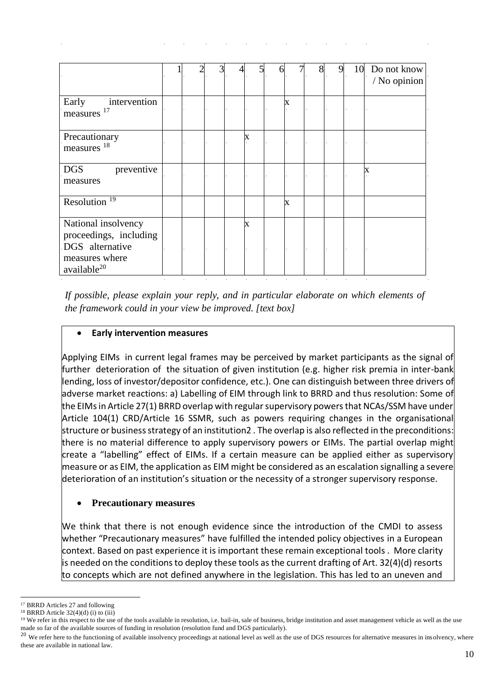|                                                                                                               |  |  |   | 6 |   | 8 | 9 | 10 | Do not know<br>/ No opinion |
|---------------------------------------------------------------------------------------------------------------|--|--|---|---|---|---|---|----|-----------------------------|
| intervention<br>Early<br>measures <sup>17</sup>                                                               |  |  |   |   | X |   |   |    |                             |
| Precautionary<br>measures 18                                                                                  |  |  | X |   |   |   |   |    |                             |
| <b>DGS</b><br>preventive<br>measures                                                                          |  |  |   |   |   |   |   |    | X                           |
| Resolution <sup>19</sup>                                                                                      |  |  |   |   | X |   |   |    |                             |
| National insolvency<br>proceedings, including<br>DGS alternative<br>measures where<br>available <sup>20</sup> |  |  | X |   |   |   |   |    |                             |

*If possible, please explain your reply, and in particular elaborate on which elements of the framework could in your view be improved. [text box]* 

## • **Early intervention measures**

Applying EIMs in current legal frames may be perceived by market participants as the signal of further deterioration of the situation of given institution (e.g. higher risk premia in inter-bank lending, loss of investor/depositor confidence, etc.). One can distinguish between three drivers of adverse market reactions: a) Labelling of EIM through link to BRRD and thus resolution: Some of the EIMs in Article 27(1) BRRD overlap with regular supervisory powers that NCAs/SSM have under Article 104(1) CRD/Article 16 SSMR, such as powers requiring changes in the organisational structure or business strategy of an institution2 . The overlap is also reflected in the preconditions: there is no material difference to apply supervisory powers or EIMs. The partial overlap might create a "labelling" effect of EIMs. If a certain measure can be applied either as supervisory measure or as EIM, the application as EIM might be considered as an escalation signalling a severe deterioration of an institution's situation or the necessity of a stronger supervisory response.

## • **Precautionary measures**

We think that there is not enough evidence since the introduction of the CMDI to assess whether "Precautionary measures" have fulfilled the intended policy objectives in a European context. Based on past experience it is important these remain exceptional tools . More clarity is needed on the conditions to deploy these tools as the current drafting of Art. 32(4)(d) resorts to concepts which are not defined anywhere in the legislation. This has led to an uneven and

<sup>17</sup> BRRD Articles 27 and following

 $18$  BRRD Article 32(4)(d) (i) to (iii)

<sup>&</sup>lt;sup>19</sup> We refer in this respect to the use of the tools available in resolution, i.e. bail-in, sale of business, bridge institution and asset management vehicle as well as the use made so far of the available sources of funding in resolution (resolution fund and DGS particularly).

<sup>&</sup>lt;sup>20</sup> We refer here to the functioning of available insolvency proceedings at national level as well as the use of DGS resources for alternative measures in insolvency, where these are available in national law.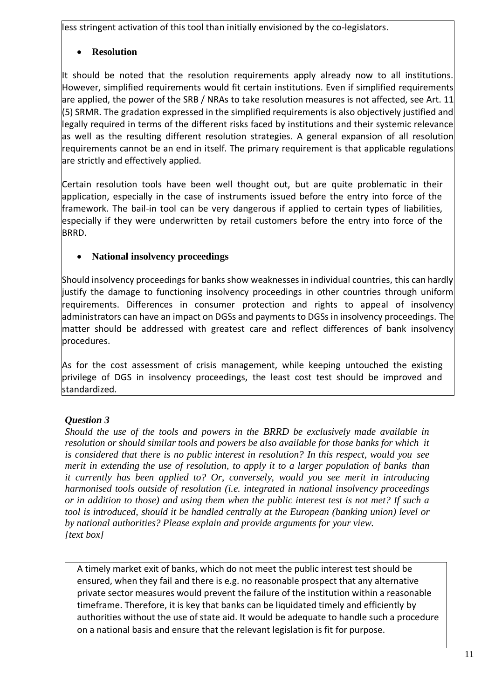less stringent activation of this tool than initially envisioned by the co-legislators.

# • **Resolution**

It should be noted that the resolution requirements apply already now to all institutions. However, simplified requirements would fit certain institutions. Even if simplified requirements are applied, the power of the SRB / NRAs to take resolution measures is not affected, see Art. 11 (5) SRMR. The gradation expressed in the simplified requirements is also objectively justified and legally required in terms of the different risks faced by institutions and their systemic relevance as well as the resulting different resolution strategies. A general expansion of all resolution requirements cannot be an end in itself. The primary requirement is that applicable regulations are strictly and effectively applied.

Certain resolution tools have been well thought out, but are quite problematic in their application, especially in the case of instruments issued before the entry into force of the framework. The bail-in tool can be very dangerous if applied to certain types of liabilities, especially if they were underwritten by retail customers before the entry into force of the BRRD.

# • **National insolvency proceedings**

Should insolvency proceedings for banks show weaknesses in individual countries, this can hardly justify the damage to functioning insolvency proceedings in other countries through uniform requirements. Differences in consumer protection and rights to appeal of insolvency administrators can have an impact on DGSs and payments to DGSs in insolvency proceedings. The matter should be addressed with greatest care and reflect differences of bank insolvency procedures.

As for the cost assessment of crisis management, while keeping untouched the existing privilege of DGS in insolvency proceedings, the least cost test should be improved and standardized.

# *Question 3*

*Should the use of the tools and powers in the BRRD be exclusively made available in resolution or should similar tools and powers be also available for those banks for which it is considered that there is no public interest in resolution? In this respect, would you see merit in extending the use of resolution, to apply it to a larger population of banks than it currently has been applied to? Or, conversely, would you see merit in introducing harmonised tools outside of resolution (i.e. integrated in national insolvency proceedings or in addition to those) and using them when the public interest test is not met? If such a tool is introduced, should it be handled centrally at the European (banking union) level or by national authorities? Please explain and provide arguments for your view. [text box]* 

A timely market exit of banks, which do not meet the public interest test should be ensured, when they fail and there is e.g. no reasonable prospect that any alternative private sector measures would prevent the failure of the institution within a reasonable timeframe. Therefore, it is key that banks can be liquidated timely and efficiently by authorities without the use of state aid. It would be adequate to handle such a procedure on a national basis and ensure that the relevant legislation is fit for purpose.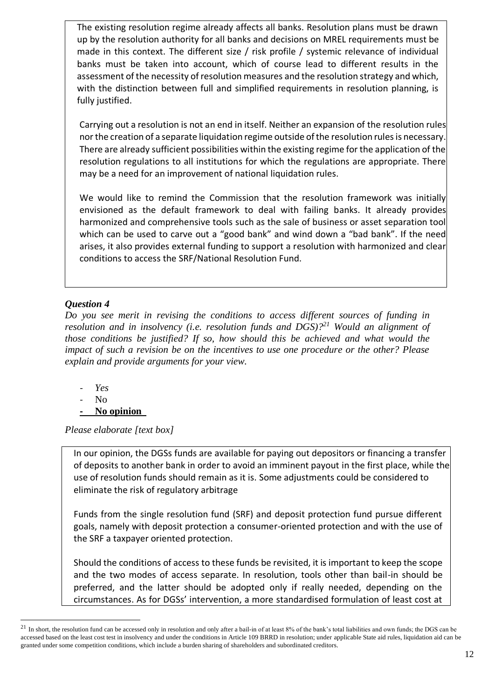The existing resolution regime already affects all banks. Resolution plans must be drawn up by the resolution authority for all banks and decisions on MREL requirements must be made in this context. The different size / risk profile / systemic relevance of individual banks must be taken into account, which of course lead to different results in the assessment of the necessity of resolution measures and the resolution strategy and which, with the distinction between full and simplified requirements in resolution planning, is fully justified.

Carrying out a resolution is not an end in itself. Neither an expansion of the resolution rules nor the creation of a separate liquidation regime outside of the resolution rules is necessary. There are already sufficient possibilities within the existing regime for the application of the resolution regulations to all institutions for which the regulations are appropriate. There may be a need for an improvement of national liquidation rules.

We would like to remind the Commission that the resolution framework was initially envisioned as the default framework to deal with failing banks. It already provides harmonized and comprehensive tools such as the sale of business or asset separation tool which can be used to carve out a "good bank" and wind down a "bad bank". If the need arises, it also provides external funding to support a resolution with harmonized and clear conditions to access the SRF/National Resolution Fund.

## *Question 4*

*Do you see merit in revising the conditions to access different sources of funding in resolution and in insolvency (i.e. resolution funds and DGS)?<sup>21</sup> Would an alignment of those conditions be justified? If so, how should this be achieved and what would the impact of such a revision be on the incentives to use one procedure or the other? Please explain and provide arguments for your view.* 

- *- Yes*
- No
- **- No opinion**

*Please elaborate [text box]* 

In our opinion, the DGSs funds are available for paying out depositors or financing a transfer of deposits to another bank in order to avoid an imminent payout in the first place, while the use of resolution funds should remain as it is. Some adjustments could be considered to eliminate the risk of regulatory arbitrage

Funds from the single resolution fund (SRF) and deposit protection fund pursue different goals, namely with deposit protection a consumer-oriented protection and with the use of the SRF a taxpayer oriented protection.

Should the conditions of access to these funds be revisited, it is important to keep the scope and the two modes of access separate. In resolution, tools other than bail-in should be preferred, and the latter should be adopted only if really needed, depending on the circumstances. As for DGSs' intervention, a more standardised formulation of least cost at

 $21$  In short, the resolution fund can be accessed only in resolution and only after a bail-in of at least 8% of the bank's total liabilities and own funds; the DGS can be accessed based on the least cost test in insolvency and under the conditions in Article 109 BRRD in resolution; under applicable State aid rules, liquidation aid can be granted under some competition conditions, which include a burden sharing of shareholders and subordinated creditors.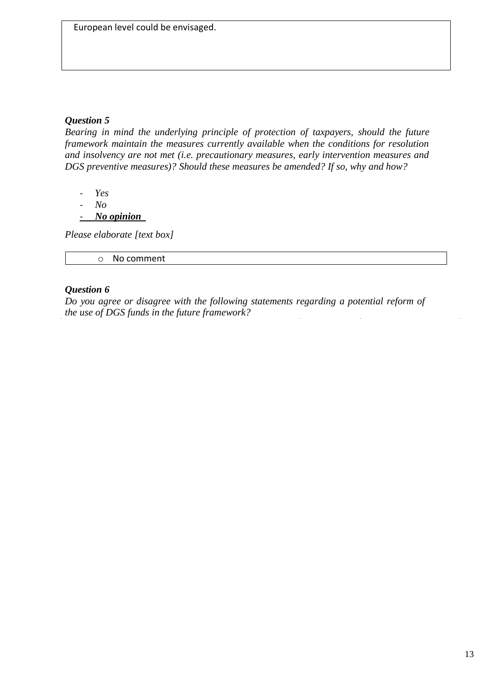## *Question 5*

*Bearing in mind the underlying principle of protection of taxpayers, should the future framework maintain the measures currently available when the conditions for resolution and insolvency are not met (i.e. precautionary measures, early intervention measures and DGS preventive measures)? Should these measures be amended? If so, why and how?* 

- *- Yes*
- *- No*
- *- No opinion*

*Please elaborate [text box]* 

o No comment

## *Question 6*

*Do you agree or disagree with the following statements regarding a potential reform of the use of DGS funds in the future framework?*  $\ddot{\phantom{a}}$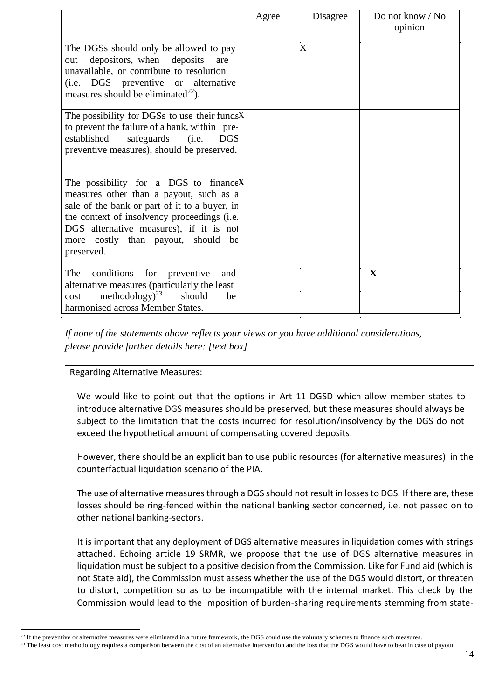|                                                                                                                                                                                                                                                                                       | Agree | Disagree                | Do not know / No<br>opinion |
|---------------------------------------------------------------------------------------------------------------------------------------------------------------------------------------------------------------------------------------------------------------------------------------|-------|-------------------------|-----------------------------|
| The DGSs should only be allowed to pay<br>depositors, when deposits<br>are<br>out<br>unavailable, or contribute to resolution<br>(i.e. DGS preventive or alternative<br>measures should be eliminated <sup>22</sup> ).                                                                |       | $\overline{\mathrm{X}}$ |                             |
| The possibility for DGSs to use their fundsX<br>to prevent the failure of a bank, within pre-<br>established<br>safeguards<br>(i.e.<br><b>DGS</b><br>preventive measures), should be preserved.                                                                                       |       |                         |                             |
| The possibility for a DGS to finance $X$<br>measures other than a payout, such as a<br>sale of the bank or part of it to a buyer, in<br>the context of insolvency proceedings (i.e.<br>DGS alternative measures), if it is not<br>more costly than payout, should<br>be<br>preserved. |       |                         |                             |
| The<br>conditions<br>for<br>preventive<br>and<br>alternative measures (particularly the least<br>methodology $)^{23}$<br>should<br>be<br>cost<br>harmonised across Member States.                                                                                                     |       |                         | $\mathbf{X}$                |

*If none of the statements above reflects your views or you have additional considerations, please provide further details here: [text box]* 

## Regarding Alternative Measures:

We would like to point out that the options in Art 11 DGSD which allow member states to introduce alternative DGS measures should be preserved, but these measures should always be subject to the limitation that the costs incurred for resolution/insolvency by the DGS do not exceed the hypothetical amount of compensating covered deposits.

However, there should be an explicit ban to use public resources (for alternative measures) in the counterfactual liquidation scenario of the PIA.

The use of alternative measures through a DGS should not result in losses to DGS. If there are, these losses should be ring-fenced within the national banking sector concerned, i.e. not passed on to other national banking-sectors.

It is important that any deployment of DGS alternative measures in liquidation comes with strings attached. Echoing article 19 SRMR, we propose that the use of DGS alternative measures in liquidation must be subject to a positive decision from the Commission. Like for Fund aid (which is not State aid), the Commission must assess whether the use of the DGS would distort, or threaten to distort, competition so as to be incompatible with the internal market. This check by the Commission would lead to the imposition of burden-sharing requirements stemming from state-

<sup>&</sup>lt;sup>22</sup> If the preventive or alternative measures were eliminated in a future framework, the DGS could use the voluntary schemes to finance such measures.

<sup>&</sup>lt;sup>23</sup> The least cost methodology requires a comparison between the cost of an alternative intervention and the loss that the DGS would have to bear in case of payout.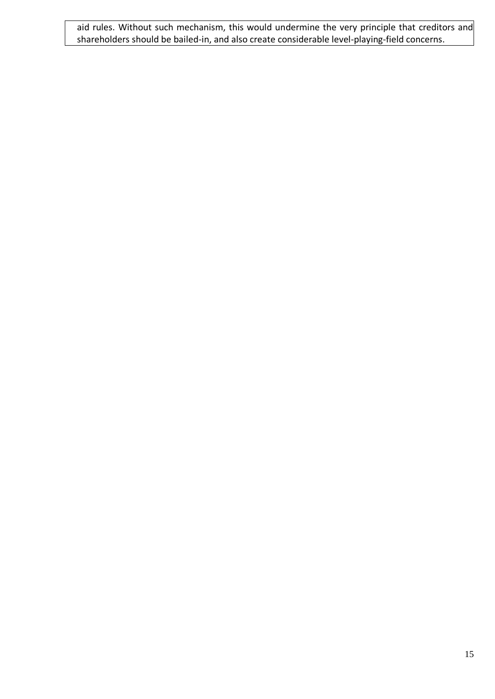aid rules. Without such mechanism, this would undermine the very principle that creditors and shareholders should be bailed-in, and also create considerable level-playing-field concerns.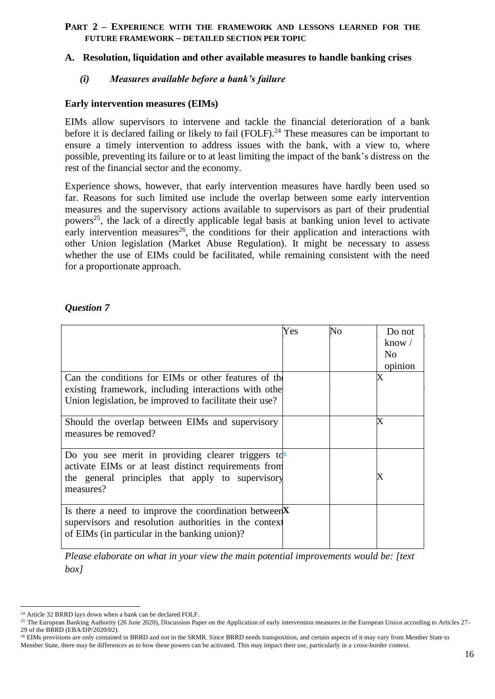#### **PART 2 – EXPERIENCE WITH THE FRAMEWORK AND LESSONS LEARNED FOR THE FUTURE FRAMEWORK – DETAILED SECTION PER TOPIC**

#### **A. Resolution, liquidation and other available measures to handle banking crises**

#### *(i) Measures available before a bank's failure*

#### **Early intervention measures (EIMs)**

EIMs allow supervisors to intervene and tackle the financial deterioration of a bank before it is declared failing or likely to fail  $(FOLF)$ <sup>24</sup>. These measures can be important to ensure a timely intervention to address issues with the bank, with a view to, where possible, preventing its failure or to at least limiting the impact of the bank's distress on the rest of the financial sector and the economy.

Experience shows, however, that early intervention measures have hardly been used so far. Reasons for such limited use include the overlap between some early intervention measures and the supervisory actions available to supervisors as part of their prudential powers<sup>25</sup>, the lack of a directly applicable legal basis at banking union level to activate early intervention measures<sup>26</sup>, the conditions for their application and interactions with other Union legislation (Market Abuse Regulation). It might be necessary to assess whether the use of EIMs could be facilitated, while remaining consistent with the need for a proportionate approach.

#### *Question 7*

|                                                             | Yes | No | Do not            |
|-------------------------------------------------------------|-----|----|-------------------|
|                                                             |     |    | know $\sqrt{}$    |
|                                                             |     |    | N <sub>0</sub>    |
|                                                             |     |    | opinion           |
| Can the conditions for EIMs or other features of the        |     |    | $\rm\overline{X}$ |
| existing framework, including interactions with other       |     |    |                   |
| Union legislation, be improved to facilitate their use?     |     |    |                   |
|                                                             |     |    |                   |
| Should the overlap between EIMs and supervisory             |     |    | X                 |
| measures be removed?                                        |     |    |                   |
|                                                             |     |    |                   |
| Do you see merit in providing clearer triggers $\text{tdx}$ |     |    |                   |
| activate EIMs or at least distinct requirements from        |     |    |                   |
| the general principles that apply to supervisory            |     |    |                   |
| measures?                                                   |     |    |                   |
|                                                             |     |    |                   |
| Is there a need to improve the coordination between $X$     |     |    |                   |
| supervisors and resolution authorities in the context       |     |    |                   |
| of EIMs (in particular in the banking union)?               |     |    |                   |
|                                                             |     |    |                   |

*Please elaborate on what in your view the main potential improvements would be: [text box]*

<sup>24</sup> Article 32 BRRD lays down when a bank can be declared FOLF.

<sup>&</sup>lt;sup>25</sup> The European Banking Authority (26 June 2020), Discussion Paper on the Application of early intervention measures in the European Union according to Articles 27-29 of the BRRD (EBA/DP/2020/02).

<sup>&</sup>lt;sup>26</sup> EIMs provisions are only contained in BRRD and not in the SRMR. Since BRRD needs transposition, and certain aspects of it may vary from Member State to Member State, there may be differences as to how these powers can be activated. This may impact their use, particularly in a cross-border context.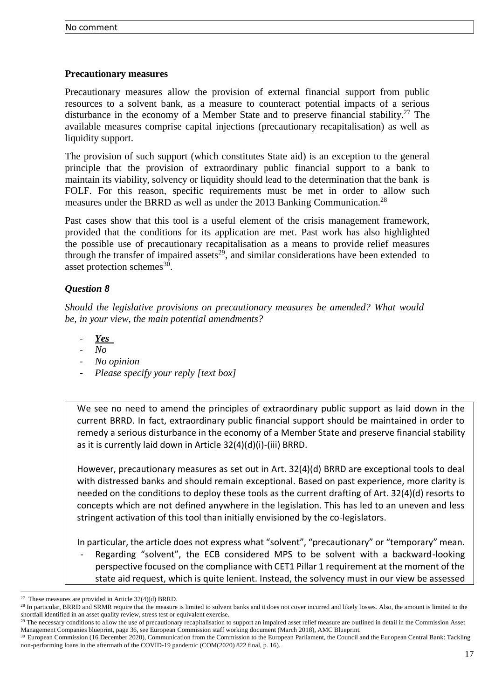## **Precautionary measures**

Precautionary measures allow the provision of external financial support from public resources to a solvent bank, as a measure to counteract potential impacts of a serious disturbance in the economy of a Member State and to preserve financial stability.<sup>27</sup> The available measures comprise capital injections (precautionary recapitalisation) as well as liquidity support.

The provision of such support (which constitutes State aid) is an exception to the general principle that the provision of extraordinary public financial support to a bank to maintain its viability, solvency or liquidity should lead to the determination that the bank is FOLF. For this reason, specific requirements must be met in order to allow such measures under the BRRD as well as under the 2013 Banking Communication.<sup>28</sup>

Past cases show that this tool is a useful element of the crisis management framework, provided that the conditions for its application are met. Past work has also highlighted the possible use of precautionary recapitalisation as a means to provide relief measures through the transfer of impaired assets<sup>29</sup>, and similar considerations have been extended to asset protection schemes<sup>30</sup>.

## *Question 8*

*Should the legislative provisions on precautionary measures be amended? What would be, in your view, the main potential amendments?* 

- *- Yes*
- $N_{O}$
- *- No opinion*
- *- Please specify your reply [text box]*

We see no need to amend the principles of extraordinary public support as laid down in the current BRRD. In fact, extraordinary public financial support should be maintained in order to remedy a serious disturbance in the economy of a Member State and preserve financial stability as it is currently laid down in Article 32(4)(d)(i)-(iii) BRRD.

However, precautionary measures as set out in Art. 32(4)(d) BRRD are exceptional tools to deal with distressed banks and should remain exceptional. Based on past experience, more clarity is needed on the conditions to deploy these tools as the current drafting of Art. 32(4)(d) resorts to concepts which are not defined anywhere in the legislation. This has led to an uneven and less stringent activation of this tool than initially envisioned by the co-legislators.

In particular, the article does not express what "solvent", "precautionary" or "temporary" mean.

Regarding "solvent", the ECB considered MPS to be solvent with a backward-looking perspective focused on the compliance with CET1 Pillar 1 requirement at the moment of the state aid request, which is quite lenient. Instead, the solvency must in our view be assessed

<sup>&</sup>lt;sup>27</sup> These measures are provided in Article  $32(4)(d)$  BRRD.

<sup>&</sup>lt;sup>28</sup> In particular, BRRD and SRMR require that the measure is limited to solvent banks and it does not cover incurred and likely losses. Also, the amount is limited to the shortfall identified in an asset quality review, stress test or equivalent exercise.

 $^{29}$  The necessary conditions to allow the use of precautionary recapitalisation to support an impaired asset relief measure are outlined in detail in the Commission Asset Management Companies blueprint, page 36, see European Commission staff working document (March 2018), AMC Blueprint.

<sup>&</sup>lt;sup>30</sup> European Commission (16 December 2020), Communication from the Commission to the European Parliament, the Council and the European Central Bank: Tackling non-performing loans in the aftermath of the COVID-19 pandemic (COM(2020) 822 final, p. 16).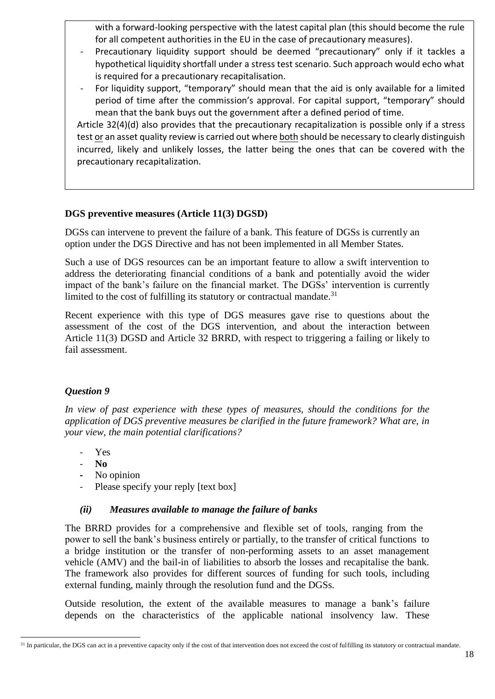with a forward-looking perspective with the latest capital plan (this should become the rule for all competent authorities in the EU in the case of precautionary measures).

- Precautionary liquidity support should be deemed "precautionary" only if it tackles a hypothetical liquidity shortfall under a stress test scenario. Such approach would echo what is required for a precautionary recapitalisation.
- For liquidity support, "temporary" should mean that the aid is only available for a limited period of time after the commission's approval. For capital support, "temporary" should mean that the bank buys out the government after a defined period of time.

Article 32(4)(d) also provides that the precautionary recapitalization is possible only if a stress test or an asset quality review is carried out where both should be necessary to clearly distinguish incurred, likely and unlikely losses, the latter being the ones that can be covered with the precautionary recapitalization.

## **DGS preventive measures (Article 11(3) DGSD)**

DGSs can intervene to prevent the failure of a bank. This feature of DGSs is currently an option under the DGS Directive and has not been implemented in all Member States.

Such a use of DGS resources can be an important feature to allow a swift intervention to address the deteriorating financial conditions of a bank and potentially avoid the wider impact of the bank's failure on the financial market. The DGSs' intervention is currently limited to the cost of fulfilling its statutory or contractual mandate. $31$ 

Recent experience with this type of DGS measures gave rise to questions about the assessment of the cost of the DGS intervention, and about the interaction between Article 11(3) DGSD and Article 32 BRRD, with respect to triggering a failing or likely to fail assessment.

## *Question 9*

*In view of past experience with these types of measures, should the conditions for the application of DGS preventive measures be clarified in the future framework? What are, in your view, the main potential clarifications?* 

- Yes
- **No**
- **-** No opinion
- Please specify your reply [text box]

#### *(ii) Measures available to manage the failure of banks*

The BRRD provides for a comprehensive and flexible set of tools, ranging from the power to sell the bank's business entirely or partially, to the transfer of critical functions to a bridge institution or the transfer of non-performing assets to an asset management vehicle (AMV) and the bail-in of liabilities to absorb the losses and recapitalise the bank. The framework also provides for different sources of funding for such tools, including external funding, mainly through the resolution fund and the DGSs.

Outside resolution, the extent of the available measures to manage a bank's failure depends on the characteristics of the applicable national insolvency law. These

<sup>&</sup>lt;sup>31</sup> In particular, the DGS can act in a preventive capacity only if the cost of that intervention does not exceed the cost of fulfilling its statutory or contractual mandate.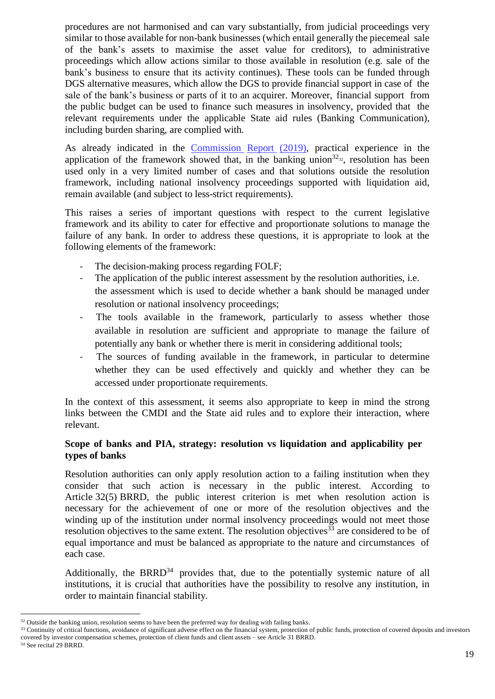procedures are not harmonised and can vary substantially, from judicial proceedings very similar to those available for non-bank businesses (which entail generally the piecemeal sale of the bank's assets to maximise the asset value for creditors), to administrative proceedings which allow actions similar to those available in resolution (e.g. sale of the bank's business to ensure that its activity continues). These tools can be funded through DGS alternative measures, which allow the DGS to provide financial support in case of the sale of the bank's business or parts of it to an acquirer. Moreover, financial support from the public budget can be used to finance such measures in insolvency, provided that the relevant requirements under the applicable State aid rules (Banking Communication), including burden sharing, are complied with.

As already indicated in the [Commission](https://ec.europa.eu/transparency/regdoc/rep/1/2019/EN/COM-2019-213-F1-EN-MAIN-PART-1.PDF) Report (2019), practical experience in the application of the framework showed that, in the banking union<sup>32<sub>32</sub></sup>, resolution has been used only in a very limited number of cases and that solutions outside the resolution framework, including national insolvency proceedings supported with liquidation aid, remain available (and subject to less-strict requirements).

This raises a series of important questions with respect to the current legislative framework and its ability to cater for effective and proportionate solutions to manage the failure of any bank. In order to address these questions, it is appropriate to look at the following elements of the framework:

- The decision-making process regarding FOLF;
- The application of the public interest assessment by the resolution authorities, i.e. the assessment which is used to decide whether a bank should be managed under resolution or national insolvency proceedings;
- The tools available in the framework, particularly to assess whether those available in resolution are sufficient and appropriate to manage the failure of potentially any bank or whether there is merit in considering additional tools;
- The sources of funding available in the framework, in particular to determine whether they can be used effectively and quickly and whether they can be accessed under proportionate requirements.

In the context of this assessment, it seems also appropriate to keep in mind the strong links between the CMDI and the State aid rules and to explore their interaction, where relevant.

## **Scope of banks and PIA, strategy: resolution vs liquidation and applicability per types of banks**

Resolution authorities can only apply resolution action to a failing institution when they consider that such action is necessary in the public interest. According to Article 32(5) BRRD, the public interest criterion is met when resolution action is necessary for the achievement of one or more of the resolution objectives and the winding up of the institution under normal insolvency proceedings would not meet those resolution objectives to the same extent. The resolution objectives  $33$  are considered to be of equal importance and must be balanced as appropriate to the nature and circumstances of each case.

Additionally, the BRRD $34$  provides that, due to the potentially systemic nature of all institutions, it is crucial that authorities have the possibility to resolve any institution, in order to maintain financial stability.

<sup>34</sup> See recital 29 BRRD.

<sup>&</sup>lt;sup>32</sup> Outside the banking union, resolution seems to have been the preferred way for dealing with failing banks.

<sup>&</sup>lt;sup>33</sup> Continuity of critical functions, avoidance of significant adverse effect on the financial system, protection of public funds, protection of covered deposits and investors covered by investor compensation schemes, protection of client funds and client assets – see Article 31 BRRD.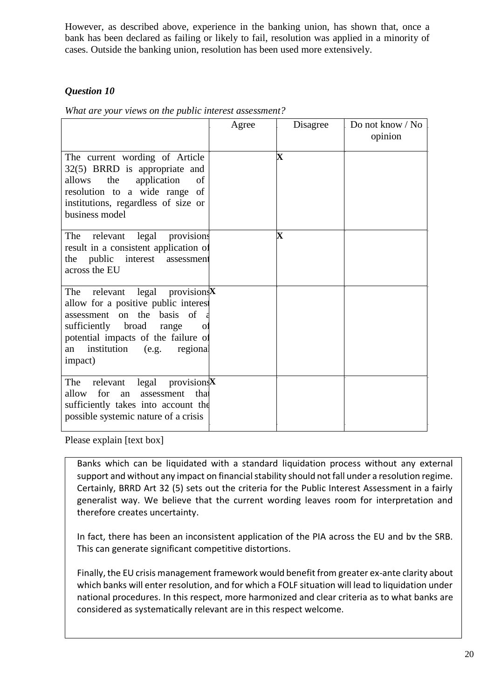However, as described above, experience in the banking union, has shown that, once a bank has been declared as failing or likely to fail, resolution was applied in a minority of cases. Outside the banking union, resolution has been used more extensively.

# *Question 10*

*What are your views on the public interest assessment?* 

|                                                                                                                                                                                                                                                | Agree | Disagree                | Do not know / No<br>opinion |
|------------------------------------------------------------------------------------------------------------------------------------------------------------------------------------------------------------------------------------------------|-------|-------------------------|-----------------------------|
| The current wording of Article<br>32(5) BRRD is appropriate and<br>application<br>allows<br>the<br>of<br>resolution to a wide range of<br>institutions, regardless of size or<br>business model                                                |       | $\overline{\mathbf{X}}$ |                             |
| The relevant legal provisions<br>result in a consistent application of<br>public<br>interest<br>the<br>assessment<br>across the EU                                                                                                             |       | Х                       |                             |
| The relevant legal provisions $X$<br>allow for a positive public interest<br>assessment on the basis of<br>sufficiently broad<br>range<br>$\overline{O}$<br>potential impacts of the failure of<br>institution (e.g. regional<br>an<br>impact) |       |                         |                             |
| relevant legal provisions $X$<br>The<br>for<br>allow<br>assessment<br>that<br>an<br>sufficiently takes into account the<br>possible systemic nature of a crisis                                                                                |       |                         |                             |

Please explain [text box]

Banks which can be liquidated with a standard liquidation process without any external support and without any impact on financial stability should not fall under a resolution regime. Certainly, BRRD Art 32 (5) sets out the criteria for the Public Interest Assessment in a fairly generalist way. We believe that the current wording leaves room for interpretation and therefore creates uncertainty.

In fact, there has been an inconsistent application of the PIA across the EU and bv the SRB. This can generate significant competitive distortions.

Finally, the EU crisis management framework would benefit from greater ex-ante clarity about which banks will enter resolution, and for which a FOLF situation will lead to liquidation under national procedures. In this respect, more harmonized and clear criteria as to what banks are considered as systematically relevant are in this respect welcome.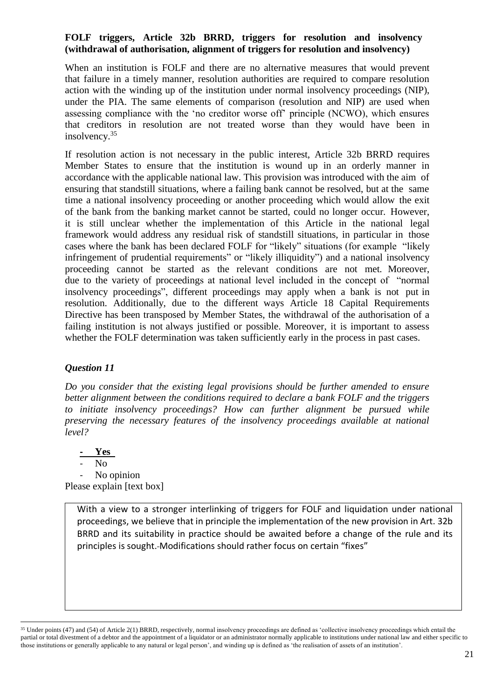#### **FOLF triggers, Article 32b BRRD, triggers for resolution and insolvency (withdrawal of authorisation, alignment of triggers for resolution and insolvency)**

When an institution is FOLF and there are no alternative measures that would prevent that failure in a timely manner, resolution authorities are required to compare resolution action with the winding up of the institution under normal insolvency proceedings (NIP), under the PIA. The same elements of comparison (resolution and NIP) are used when assessing compliance with the 'no creditor worse off' principle (NCWO), which ensures that creditors in resolution are not treated worse than they would have been in insolvency. 35

If resolution action is not necessary in the public interest, Article 32b BRRD requires Member States to ensure that the institution is wound up in an orderly manner in accordance with the applicable national law. This provision was introduced with the aim of ensuring that standstill situations, where a failing bank cannot be resolved, but at the same time a national insolvency proceeding or another proceeding which would allow the exit of the bank from the banking market cannot be started, could no longer occur. However, it is still unclear whether the implementation of this Article in the national legal framework would address any residual risk of standstill situations, in particular in those cases where the bank has been declared FOLF for "likely" situations (for example "likely infringement of prudential requirements" or "likely illiquidity") and a national insolvency proceeding cannot be started as the relevant conditions are not met. Moreover, due to the variety of proceedings at national level included in the concept of "normal insolvency proceedings", different proceedings may apply when a bank is not put in resolution. Additionally, due to the different ways Article 18 Capital Requirements Directive has been transposed by Member States, the withdrawal of the authorisation of a failing institution is not always justified or possible. Moreover, it is important to assess whether the FOLF determination was taken sufficiently early in the process in past cases.

## *Question 11*

*Do you consider that the existing legal provisions should be further amended to ensure better alignment between the conditions required to declare a bank FOLF and the triggers to initiate insolvency proceedings? How can further alignment be pursued while preserving the necessary features of the insolvency proceedings available at national level?* 

**- Yes**  N<sub>o</sub> No opinion Please explain [text box]

> With a view to a stronger interlinking of triggers for FOLF and liquidation under national proceedings, we believe that in principle the implementation of the new provision in Art. 32b BRRD and its suitability in practice should be awaited before a change of the rule and its principles is sought. Modifications should rather focus on certain "fixes"

<sup>&</sup>lt;sup>35</sup> Under points (47) and (54) of Article 2(1) BRRD, respectively, normal insolvency proceedings are defined as 'collective insolvency proceedings which entail the partial or total divestment of a debtor and the appointment of a liquidator or an administrator normally applicable to institutions under national law and either specific to those institutions or generally applicable to any natural or legal person', and winding up is defined as 'the realisation of assets of an institution'.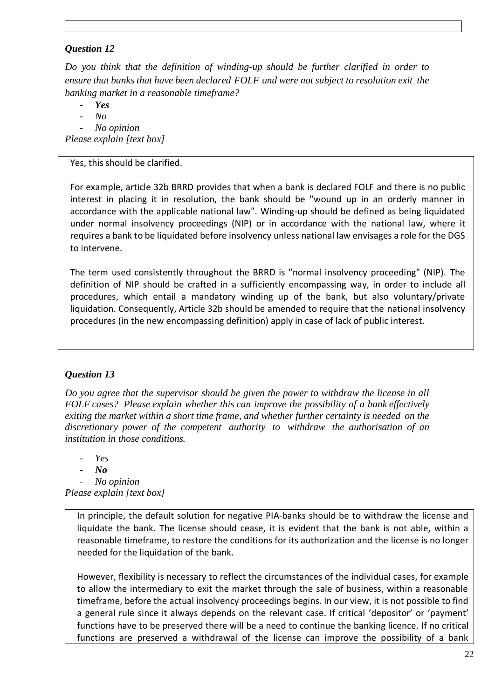## *Question 12*

*Do you think that the definition of winding-up should be further clarified in order to ensure that banks that have been declared FOLF and were not subject to resolution exit the banking market in a reasonable timeframe?* 

*- Yes* 

 $N<sub>o</sub>$ 

*- No opinion* 

*Please explain [text box]* 

Yes, this should be clarified.

For example, article 32b BRRD provides that when a bank is declared FOLF and there is no public interest in placing it in resolution, the bank should be "wound up in an orderly manner in accordance with the applicable national law". Winding-up should be defined as being liquidated under normal insolvency proceedings (NIP) or in accordance with the national law, where it requires a bank to be liquidated before insolvency unless national law envisages a role for the DGS to intervene.

The term used consistently throughout the BRRD is "normal insolvency proceeding" (NIP). The definition of NIP should be crafted in a sufficiently encompassing way, in order to include all procedures, which entail a mandatory winding up of the bank, but also voluntary/private liquidation. Consequently, Article 32b should be amended to require that the national insolvency procedures (in the new encompassing definition) apply in case of lack of public interest.

## *Question 13*

*Do you agree that the supervisor should be given the power to withdraw the license in all FOLF cases? Please explain whether this can improve the possibility of a bank effectively exiting the market within a short time frame, and whether further certainty is needed on the discretionary power of the competent authority to withdraw the authorisation of an institution in those conditions.* 

 $Y_{PS}$ 

*- No* 

*- No opinion* 

*Please explain [text box]* 

In principle, the default solution for negative PIA-banks should be to withdraw the license and liquidate the bank. The license should cease, it is evident that the bank is not able, within a reasonable timeframe, to restore the conditions for its authorization and the license is no longer needed for the liquidation of the bank.

However, flexibility is necessary to reflect the circumstances of the individual cases, for example to allow the intermediary to exit the market through the sale of business, within a reasonable timeframe, before the actual insolvency proceedings begins. In our view, it is not possible to find a general rule since it always depends on the relevant case. If critical 'depositor' or 'payment' functions have to be preserved there will be a need to continue the banking licence. If no critical functions are preserved a withdrawal of the license can improve the possibility of a bank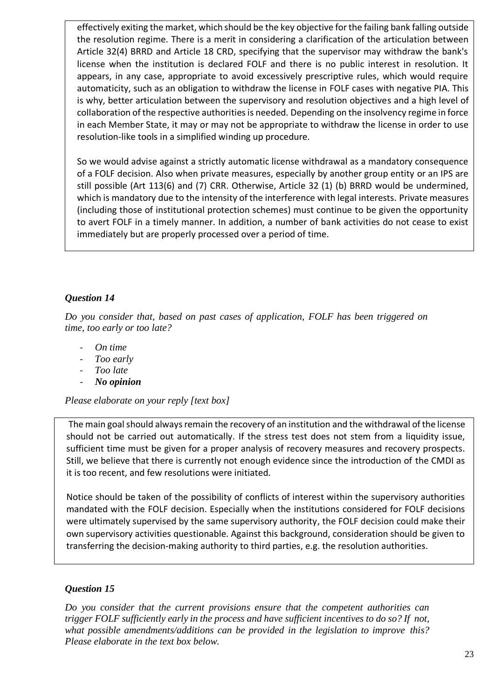effectively exiting the market, which should be the key objective for the failing bank falling outside the resolution regime. There is a merit in considering a clarification of the articulation between Article 32(4) BRRD and Article 18 CRD, specifying that the supervisor may withdraw the bank's license when the institution is declared FOLF and there is no public interest in resolution. It appears, in any case, appropriate to avoid excessively prescriptive rules, which would require automaticity, such as an obligation to withdraw the license in FOLF cases with negative PIA. This is why, better articulation between the supervisory and resolution objectives and a high level of collaboration of the respective authorities is needed. Depending on the insolvency regime in force in each Member State, it may or may not be appropriate to withdraw the license in order to use resolution-like tools in a simplified winding up procedure.

So we would advise against a strictly automatic license withdrawal as a mandatory consequence of a FOLF decision. Also when private measures, especially by another group entity or an IPS are still possible (Art 113(6) and (7) CRR. Otherwise, Article 32 (1) (b) BRRD would be undermined, which is mandatory due to the intensity of the interference with legal interests. Private measures (including those of institutional protection schemes) must continue to be given the opportunity to avert FOLF in a timely manner. In addition, a number of bank activities do not cease to exist immediately but are properly processed over a period of time.

# *Question 14*

*Do you consider that, based on past cases of application, FOLF has been triggered on time, too early or too late?* 

- *- On time*
- *- Too early*
- *- Too late*
- *- No opinion*

*Please elaborate on your reply [text box]* 

The main goal should always remain the recovery of an institution and the withdrawal of the license should not be carried out automatically. If the stress test does not stem from a liquidity issue, sufficient time must be given for a proper analysis of recovery measures and recovery prospects. Still, we believe that there is currently not enough evidence since the introduction of the CMDI as it is too recent, and few resolutions were initiated.

Notice should be taken of the possibility of conflicts of interest within the supervisory authorities mandated with the FOLF decision. Especially when the institutions considered for FOLF decisions were ultimately supervised by the same supervisory authority, the FOLF decision could make their own supervisory activities questionable. Against this background, consideration should be given to transferring the decision-making authority to third parties, e.g. the resolution authorities.

## *Question 15*

*Do you consider that the current provisions ensure that the competent authorities can trigger FOLF sufficiently early in the process and have sufficient incentives to do so? If not, what possible amendments/additions can be provided in the legislation to improve this? Please elaborate in the text box below.*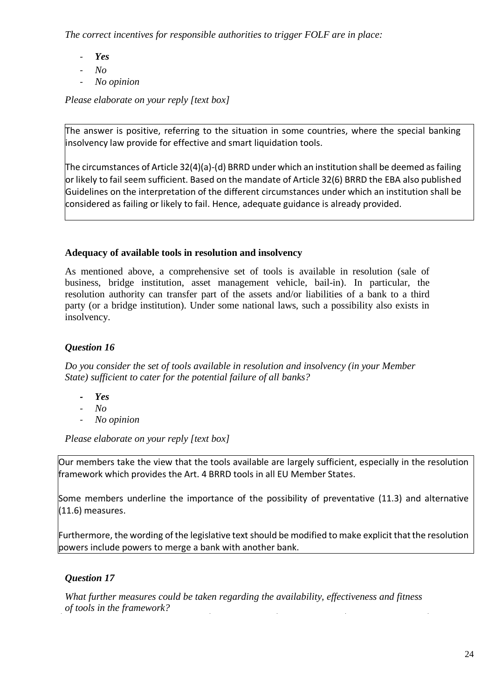*The correct incentives for responsible authorities to trigger FOLF are in place:* 

- *- Yes*
- *- No*
- *- No opinion*

*Please elaborate on your reply [text box]* 

The answer is positive, referring to the situation in some countries, where the special banking insolvency law provide for effective and smart liquidation tools.

The circumstances of Article 32(4)(a)-(d) BRRD under which an institution shall be deemed as failing or likely to fail seem sufficient. Based on the mandate of Article 32(6) BRRD the EBA also published Guidelines on the interpretation of the different circumstances under which an institution shall be considered as failing or likely to fail. Hence, adequate guidance is already provided.

# **Adequacy of available tools in resolution and insolvency**

As mentioned above, a comprehensive set of tools is available in resolution (sale of business, bridge institution, asset management vehicle, bail-in). In particular, the resolution authority can transfer part of the assets and/or liabilities of a bank to a third party (or a bridge institution). Under some national laws, such a possibility also exists in insolvency.

# *Question 16*

*Do you consider the set of tools available in resolution and insolvency (in your Member State) sufficient to cater for the potential failure of all banks?* 

- *- Yes*
- *- No*
- *- No opinion*

*Please elaborate on your reply [text box]* 

Our members take the view that the tools available are largely sufficient, especially in the resolution framework which provides the Art. 4 BRRD tools in all EU Member States.

Some members underline the importance of the possibility of preventative (11.3) and alternative (11.6) measures.

Furthermore, the wording of the legislative text should be modified to make explicit that the resolution powers include powers to merge a bank with another bank.

# *Question 17*

*What further measures could be taken regarding the availability, effectiveness and fitness of tools in the framework?*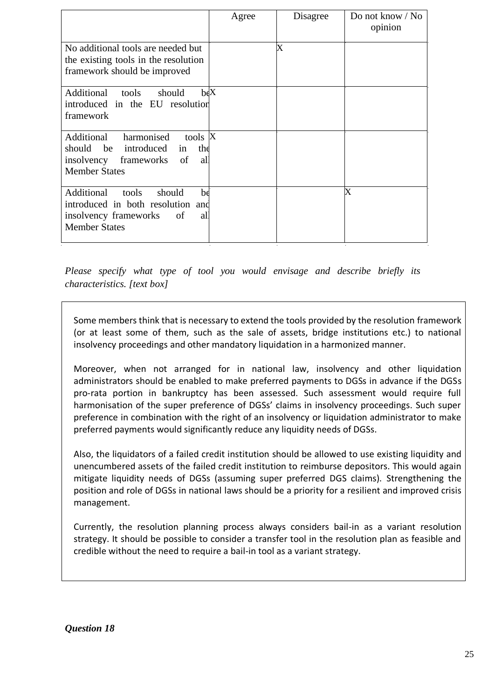|                                                                                                                                              | Agree | Disagree | Do not know / No<br>opinion |
|----------------------------------------------------------------------------------------------------------------------------------------------|-------|----------|-----------------------------|
| No additional tools are needed but<br>the existing tools in the resolution<br>framework should be improved                                   |       | X        |                             |
| $b \in X$<br>Additional<br>tools<br>should<br>introduced in the EU resolution<br>framework                                                   |       |          |                             |
| harmonised<br>tools X<br>Additional<br>introduced<br>should be<br>the<br>in<br>all<br>insolvency<br>frameworks<br>of<br><b>Member States</b> |       |          |                             |
| Additional<br>tools<br>should<br>be<br>introduced in both resolution and<br>insolvency frameworks of<br>all<br><b>Member States</b>          |       |          | $\rm\overline{X}$           |

*Please specify what type of tool you would envisage and describe briefly its characteristics. [text box]* 

Some members think that is necessary to extend the tools provided by the resolution framework (or at least some of them, such as the sale of assets, bridge institutions etc.) to national insolvency proceedings and other mandatory liquidation in a harmonized manner.

Moreover, when not arranged for in national law, insolvency and other liquidation administrators should be enabled to make preferred payments to DGSs in advance if the DGSs pro-rata portion in bankruptcy has been assessed. Such assessment would require full harmonisation of the super preference of DGSs' claims in insolvency proceedings. Such super preference in combination with the right of an insolvency or liquidation administrator to make preferred payments would significantly reduce any liquidity needs of DGSs.

Also, the liquidators of a failed credit institution should be allowed to use existing liquidity and unencumbered assets of the failed credit institution to reimburse depositors. This would again mitigate liquidity needs of DGSs (assuming super preferred DGS claims). Strengthening the position and role of DGSs in national laws should be a priority for a resilient and improved crisis management.

Currently, the resolution planning process always considers bail-in as a variant resolution strategy. It should be possible to consider a transfer tool in the resolution plan as feasible and credible without the need to require a bail-in tool as a variant strategy.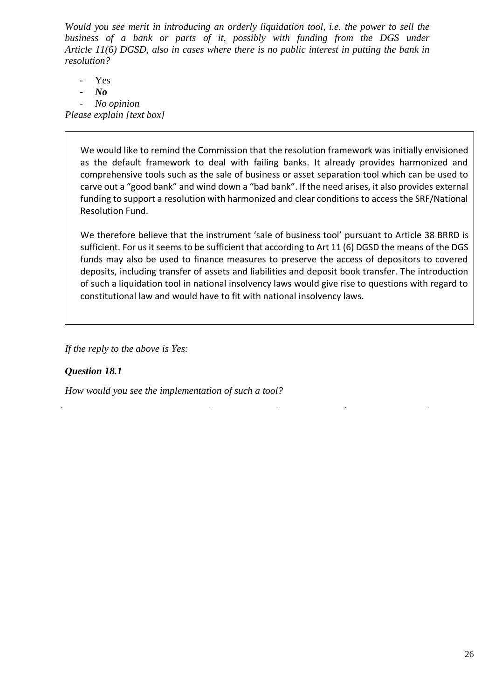*Would you see merit in introducing an orderly liquidation tool, i.e. the power to sell the business of a bank or parts of it, possibly with funding from the DGS under Article 11(6) DGSD, also in cases where there is no public interest in putting the bank in resolution?* 

- Yes
- *- No*
- *- No opinion*

*Please explain [text box]* 

We would like to remind the Commission that the resolution framework was initially envisioned as the default framework to deal with failing banks. It already provides harmonized and comprehensive tools such as the sale of business or asset separation tool which can be used to carve out a "good bank" and wind down a "bad bank". If the need arises, it also provides external funding to support a resolution with harmonized and clear conditions to access the SRF/National Resolution Fund.

We therefore believe that the instrument 'sale of business tool' pursuant to Article 38 BRRD is sufficient. For us it seems to be sufficient that according to Art 11 (6) DGSD the means of the DGS funds may also be used to finance measures to preserve the access of depositors to covered deposits, including transfer of assets and liabilities and deposit book transfer. The introduction of such a liquidation tool in national insolvency laws would give rise to questions with regard to constitutional law and would have to fit with national insolvency laws.

*If the reply to the above is Yes:* 

## *Question 18.1*

*How would you see the implementation of such a tool?*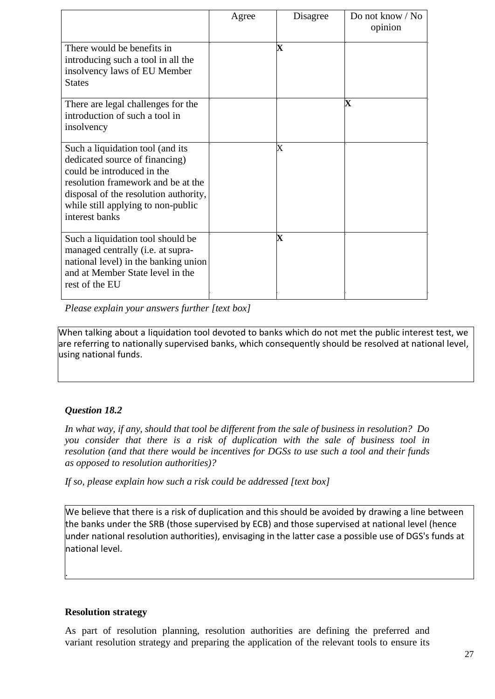|                                                                                                                                                                                                                                         | Agree | Disagree          | Do not know $\sqrt{NQ}$<br>opinion |
|-----------------------------------------------------------------------------------------------------------------------------------------------------------------------------------------------------------------------------------------|-------|-------------------|------------------------------------|
| There would be benefits in<br>introducing such a tool in all the<br>insolvency laws of EU Member<br><b>States</b>                                                                                                                       |       | $\mathbf X$       |                                    |
| There are legal challenges for the<br>introduction of such a tool in<br>insolvency                                                                                                                                                      |       |                   | X                                  |
| Such a liquidation tool (and its<br>dedicated source of financing)<br>could be introduced in the<br>resolution framework and be at the<br>disposal of the resolution authority,<br>while still applying to non-public<br>interest banks |       | $\rm\overline{X}$ |                                    |
| Such a liquidation tool should be<br>managed centrally ( <i>i.e.</i> at supra-<br>national level) in the banking union<br>and at Member State level in the<br>rest of the EU                                                            |       | $\bf{X}$          |                                    |

*Please explain your answers further [text box]* 

When talking about a liquidation tool devoted to banks which do not met the public interest test, we are referring to nationally supervised banks, which consequently should be resolved at national level, using national funds.

# *Question 18.2*

*In what way, if any, should that tool be different from the sale of business in resolution? Do you consider that there is a risk of duplication with the sale of business tool in resolution (and that there would be incentives for DGSs to use such a tool and their funds as opposed to resolution authorities)?* 

*If so, please explain how such a risk could be addressed [text box]* 

We believe that there is a risk of duplication and this should be avoided by drawing a line between the banks under the SRB (those supervised by ECB) and those supervised at national level (hence under national resolution authorities), envisaging in the latter case a possible use of DGS's funds at national level.

## **Resolution strategy**

.

As part of resolution planning, resolution authorities are defining the preferred and variant resolution strategy and preparing the application of the relevant tools to ensure its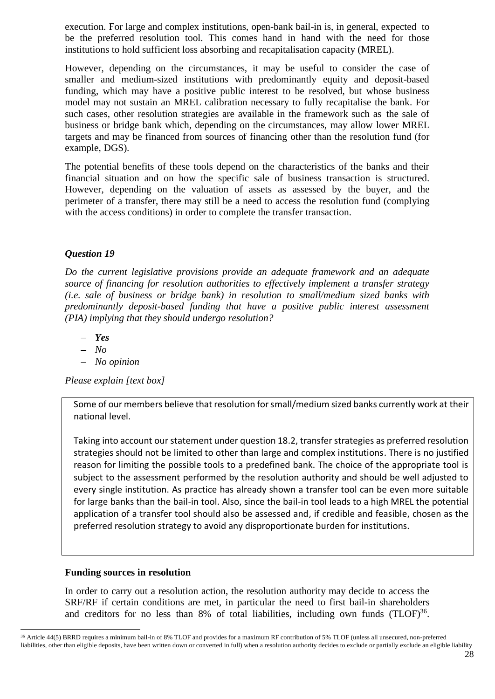execution. For large and complex institutions, open-bank bail-in is, in general, expected to be the preferred resolution tool. This comes hand in hand with the need for those institutions to hold sufficient loss absorbing and recapitalisation capacity (MREL).

However, depending on the circumstances, it may be useful to consider the case of smaller and medium-sized institutions with predominantly equity and deposit-based funding, which may have a positive public interest to be resolved, but whose business model may not sustain an MREL calibration necessary to fully recapitalise the bank. For such cases, other resolution strategies are available in the framework such as the sale of business or bridge bank which, depending on the circumstances, may allow lower MREL targets and may be financed from sources of financing other than the resolution fund (for example, DGS).

The potential benefits of these tools depend on the characteristics of the banks and their financial situation and on how the specific sale of business transaction is structured. However, depending on the valuation of assets as assessed by the buyer, and the perimeter of a transfer, there may still be a need to access the resolution fund (complying with the access conditions) in order to complete the transfer transaction.

## *Question 19*

*Do the current legislative provisions provide an adequate framework and an adequate source of financing for resolution authorities to effectively implement a transfer strategy (i.e. sale of business or bridge bank) in resolution to small/medium sized banks with predominantly deposit-based funding that have a positive public interest assessment (PIA) implying that they should undergo resolution?* 

- <sup>−</sup> *Yes*
- <sup>−</sup> *No*
- <sup>−</sup> *No opinion*

*Please explain [text box]* 

Some of our members believe that resolution for small/medium sized banks currently work at their national level.

Taking into account our statement under question 18.2, transfer strategies as preferred resolution strategies should not be limited to other than large and complex institutions. There is no justified reason for limiting the possible tools to a predefined bank. The choice of the appropriate tool is subject to the assessment performed by the resolution authority and should be well adjusted to every single institution. As practice has already shown a transfer tool can be even more suitable for large banks than the bail-in tool. Also, since the bail-in tool leads to a high MREL the potential application of a transfer tool should also be assessed and, if credible and feasible, chosen as the preferred resolution strategy to avoid any disproportionate burden for institutions.

## **Funding sources in resolution**

In order to carry out a resolution action, the resolution authority may decide to access the SRF/RF if certain conditions are met, in particular the need to first bail-in shareholders and creditors for no less than  $8\%$  of total liabilities, including own funds  $(TLOF)^{36}$ .

<sup>36</sup> Article 44(5) BRRD requires a minimum bail-in of 8% TLOF and provides for a maximum RF contribution of 5% TLOF (unless all unsecured, non-preferred liabilities, other than eligible deposits, have been written down or converted in full) when a resolution authority decides to exclude or partially exclude an eligible liability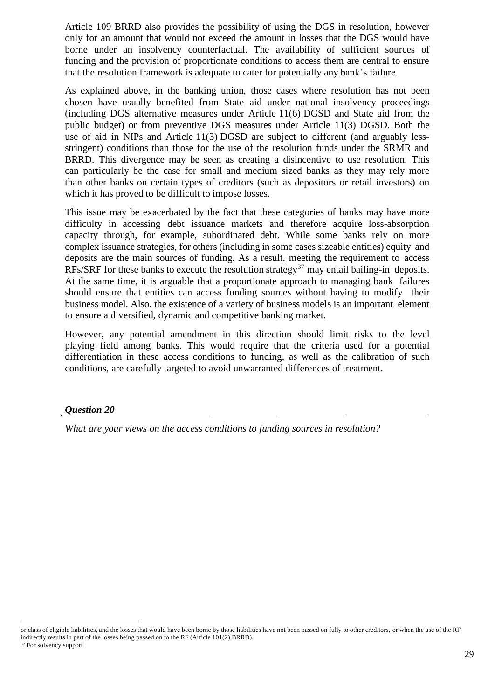Article 109 BRRD also provides the possibility of using the DGS in resolution, however only for an amount that would not exceed the amount in losses that the DGS would have borne under an insolvency counterfactual. The availability of sufficient sources of funding and the provision of proportionate conditions to access them are central to ensure that the resolution framework is adequate to cater for potentially any bank's failure.

As explained above, in the banking union, those cases where resolution has not been chosen have usually benefited from State aid under national insolvency proceedings (including DGS alternative measures under Article 11(6) DGSD and State aid from the public budget) or from preventive DGS measures under Article 11(3) DGSD. Both the use of aid in NIPs and Article 11(3) DGSD are subject to different (and arguably lessstringent) conditions than those for the use of the resolution funds under the SRMR and BRRD. This divergence may be seen as creating a disincentive to use resolution. This can particularly be the case for small and medium sized banks as they may rely more than other banks on certain types of creditors (such as depositors or retail investors) on which it has proved to be difficult to impose losses.

This issue may be exacerbated by the fact that these categories of banks may have more difficulty in accessing debt issuance markets and therefore acquire loss-absorption capacity through, for example, subordinated debt. While some banks rely on more complex issuance strategies, for others (including in some cases sizeable entities) equity and deposits are the main sources of funding. As a result, meeting the requirement to access RFs/SRF for these banks to execute the resolution strategy<sup>37</sup> may entail bailing-in deposits. At the same time, it is arguable that a proportionate approach to managing bank failures should ensure that entities can access funding sources without having to modify their business model. Also, the existence of a variety of business models is an important element to ensure a diversified, dynamic and competitive banking market.

However, any potential amendment in this direction should limit risks to the level playing field among banks. This would require that the criteria used for a potential differentiation in these access conditions to funding, as well as the calibration of such conditions, are carefully targeted to avoid unwarranted differences of treatment.

#### *Question 20*

*What are your views on the access conditions to funding sources in resolution?* 

or class of eligible liabilities, and the losses that would have been borne by those liabilities have not been passed on fully to other creditors, or when the use of the RF indirectly results in part of the losses being passed on to the RF (Article 101(2) BRRD).

<sup>&</sup>lt;sup>37</sup> For solvency support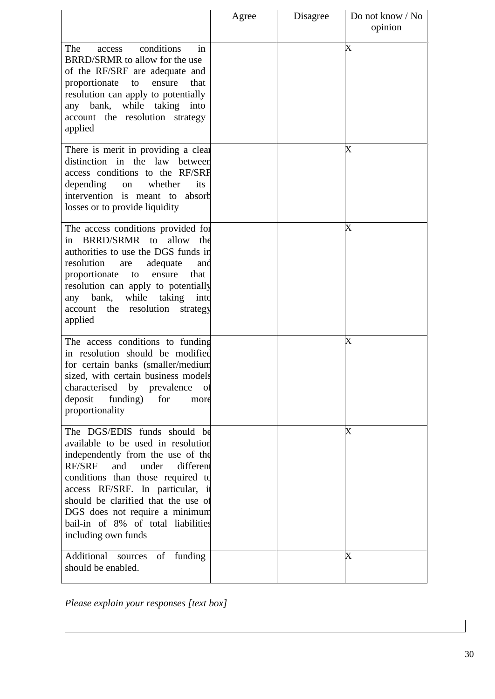|                                                                                                                                                                                                                                                                                                                                                                      | Agree | Disagree | Do not know / No<br>opinion |
|----------------------------------------------------------------------------------------------------------------------------------------------------------------------------------------------------------------------------------------------------------------------------------------------------------------------------------------------------------------------|-------|----------|-----------------------------|
| conditions<br>The<br>in<br>access<br>BRRD/SRMR to allow for the use<br>of the RF/SRF are adequate and<br>proportionate<br>ensure<br>that<br>to<br>resolution can apply to potentially<br>any bank, while taking into<br>account the resolution strategy<br>applied                                                                                                   |       |          | X                           |
| There is merit in providing a clear<br>distinction in the law between<br>access conditions to the RF/SRF<br>depending<br>whether<br>its<br>on<br>intervention is meant to absorb<br>losses or to provide liquidity                                                                                                                                                   |       |          | X                           |
| The access conditions provided for<br>BRRD/SRMR to allow the<br>in<br>authorities to use the DGS funds in<br>resolution<br>adequate<br>are<br>anc<br>proportionate<br>ensure<br>that<br>to<br>resolution can apply to potentially<br>while<br>taking<br>any bank,<br>into<br>the<br>resolution<br>account<br>strategy<br>applied                                     |       |          | $\overline{\text{X}}$       |
| The access conditions to funding<br>in resolution should be modified<br>for certain banks (smaller/medium<br>sized, with certain business models<br>characterised<br>by prevalence<br>$\overline{O}$<br>deposit<br>funding)<br>for<br>more<br>proportionality                                                                                                        |       |          | X                           |
| The DGS/EDIS funds should be<br>available to be used in resolution<br>independently from the use of the<br><b>RF/SRF</b><br>and<br>under<br>different<br>conditions than those required to<br>access RF/SRF. In particular, it<br>should be clarified that the use of<br>DGS does not require a minimum<br>bail-in of 8% of total liabilities<br>including own funds |       |          | $\overline{\text{X}}$       |
| Additional sources<br>of funding<br>should be enabled.                                                                                                                                                                                                                                                                                                               |       |          | X                           |

*Please explain your responses [text box]*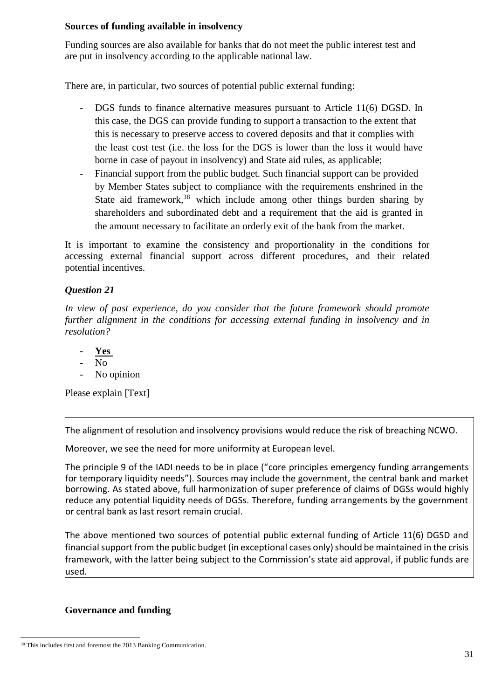#### **Sources of funding available in insolvency**

Funding sources are also available for banks that do not meet the public interest test and are put in insolvency according to the applicable national law.

There are, in particular, two sources of potential public external funding:

- DGS funds to finance alternative measures pursuant to Article 11(6) DGSD. In this case, the DGS can provide funding to support a transaction to the extent that this is necessary to preserve access to covered deposits and that it complies with the least cost test (i.e. the loss for the DGS is lower than the loss it would have borne in case of payout in insolvency) and State aid rules, as applicable;
- Financial support from the public budget. Such financial support can be provided by Member States subject to compliance with the requirements enshrined in the State aid framework,<sup>38</sup> which include among other things burden sharing by shareholders and subordinated debt and a requirement that the aid is granted in the amount necessary to facilitate an orderly exit of the bank from the market.

It is important to examine the consistency and proportionality in the conditions for accessing external financial support across different procedures, and their related potential incentives.

# *Question 21*

*In view of past experience, do you consider that the future framework should promote further alignment in the conditions for accessing external funding in insolvency and in resolution?* 

- **Yes**
- No
- No opinion

Please explain [Text]

The alignment of resolution and insolvency provisions would reduce the risk of breaching NCWO.

Moreover, we see the need for more uniformity at European level.

The principle 9 of the IADI needs to be in place ("core principles emergency funding arrangements for temporary liquidity needs"). Sources may include the government, the central bank and market borrowing. As stated above, full harmonization of super preference of claims of DGSs would highly reduce any potential liquidity needs of DGSs. Therefore, funding arrangements by the government or central bank as last resort remain crucial.

The above mentioned two sources of potential public external funding of Article 11(6) DGSD and financial support from the public budget (in exceptional cases only) should be maintained in the crisis framework, with the latter being subject to the Commission's state aid approval, if public funds are used.

## **Governance and funding**

<sup>&</sup>lt;sup>38</sup> This includes first and foremost the 2013 Banking Communication.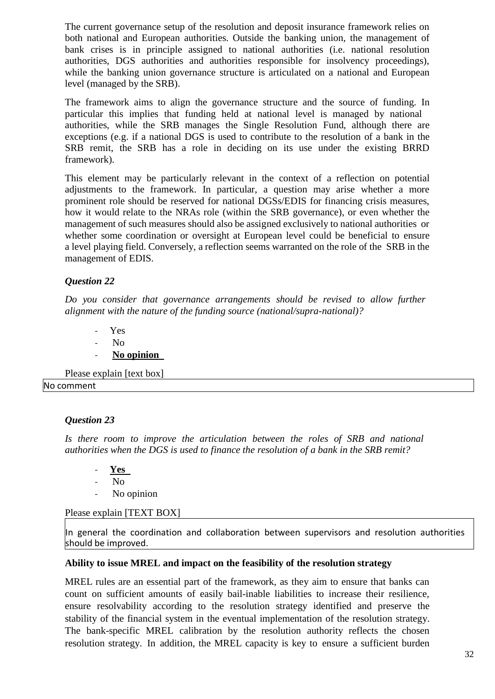The current governance setup of the resolution and deposit insurance framework relies on both national and European authorities. Outside the banking union, the management of bank crises is in principle assigned to national authorities (i.e. national resolution authorities, DGS authorities and authorities responsible for insolvency proceedings), while the banking union governance structure is articulated on a national and European level (managed by the SRB).

The framework aims to align the governance structure and the source of funding. In particular this implies that funding held at national level is managed by national authorities, while the SRB manages the Single Resolution Fund, although there are exceptions (e.g. if a national DGS is used to contribute to the resolution of a bank in the SRB remit, the SRB has a role in deciding on its use under the existing BRRD framework).

This element may be particularly relevant in the context of a reflection on potential adjustments to the framework. In particular, a question may arise whether a more prominent role should be reserved for national DGSs/EDIS for financing crisis measures, how it would relate to the NRAs role (within the SRB governance), or even whether the management of such measures should also be assigned exclusively to national authorities or whether some coordination or oversight at European level could be beneficial to ensure a level playing field. Conversely, a reflection seems warranted on the role of the SRB in the management of EDIS.

## *Question 22*

*Do you consider that governance arrangements should be revised to allow further alignment with the nature of the funding source (national/supra-national)?* 

- Yes
- No
- **No opinion**

Please explain [text box] No comment

#### *Question 23*

*Is there room to improve the articulation between the roles of SRB and national authorities when the DGS is used to finance the resolution of a bank in the SRB remit?* 

- **Yes**
- No
- No opinion

#### Please explain [TEXT BOX]

In general the coordination and collaboration between supervisors and resolution authorities should be improved.

#### **Ability to issue MREL and impact on the feasibility of the resolution strategy**

MREL rules are an essential part of the framework, as they aim to ensure that banks can count on sufficient amounts of easily bail-inable liabilities to increase their resilience, ensure resolvability according to the resolution strategy identified and preserve the stability of the financial system in the eventual implementation of the resolution strategy. The bank-specific MREL calibration by the resolution authority reflects the chosen resolution strategy. In addition, the MREL capacity is key to ensure a sufficient burden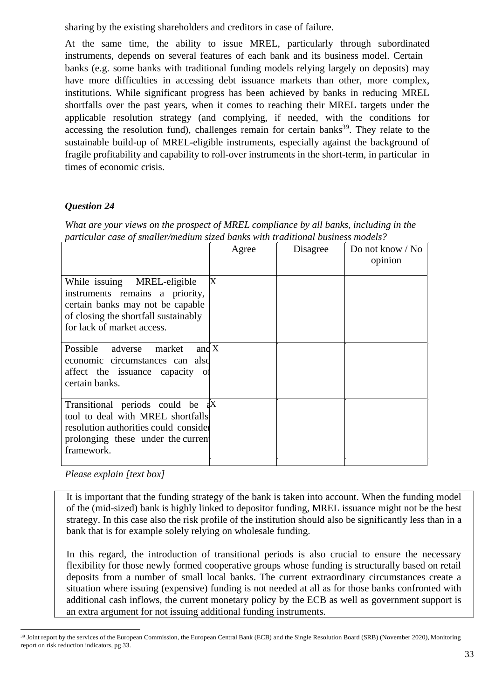sharing by the existing shareholders and creditors in case of failure.

At the same time, the ability to issue MREL, particularly through subordinated instruments, depends on several features of each bank and its business model. Certain banks (e.g. some banks with traditional funding models relying largely on deposits) may have more difficulties in accessing debt issuance markets than other, more complex, institutions. While significant progress has been achieved by banks in reducing MREL shortfalls over the past years, when it comes to reaching their MREL targets under the applicable resolution strategy (and complying, if needed, with the conditions for accessing the resolution fund), challenges remain for certain banks<sup>39</sup>. They relate to the sustainable build-up of MREL-eligible instruments, especially against the background of fragile profitability and capability to roll-over instruments in the short-term, in particular in times of economic crisis.

# *Question 24*

*What are your views on the prospect of MREL compliance by all banks, including in the particular case of smaller/medium sized banks with traditional business models?* 

|                                                                                                                                                                                  | Agree | Disagree | Do not know / No<br>opinion |
|----------------------------------------------------------------------------------------------------------------------------------------------------------------------------------|-------|----------|-----------------------------|
| While issuing MREL-eligible<br>instruments remains a priority,<br>certain banks may not be capable<br>of closing the shortfall sustainably<br>for lack of market access.         | X     |          |                             |
| and $X$<br>Possible adverse<br>market<br>economic circumstances can also<br>affect the issuance capacity of<br>certain banks.                                                    |       |          |                             |
| Transitional periods could be $\frac{dX}{dt}$<br>tool to deal with MREL shortfalls.<br>resolution authorities could consider<br>prolonging these under the current<br>framework. |       |          |                             |

*Please explain [text box]* 

It is important that the funding strategy of the bank is taken into account. When the funding model of the (mid-sized) bank is highly linked to depositor funding, MREL issuance might not be the best strategy. In this case also the risk profile of the institution should also be significantly less than in a bank that is for example solely relying on wholesale funding.

In this regard, the introduction of transitional periods is also crucial to ensure the necessary flexibility for those newly formed cooperative groups whose funding is structurally based on retail deposits from a number of small local banks. The current extraordinary circumstances create a situation where issuing (expensive) funding is not needed at all as for those banks confronted with additional cash inflows, the current monetary policy by the ECB as well as government support is an extra argument for not issuing additional funding instruments.

<sup>39</sup> Joint report by the services of the European Commission, the European Central Bank (ECB) and the Single Resolution Board (SRB) (November 2020), Monitoring report on risk reduction indicators, pg 33.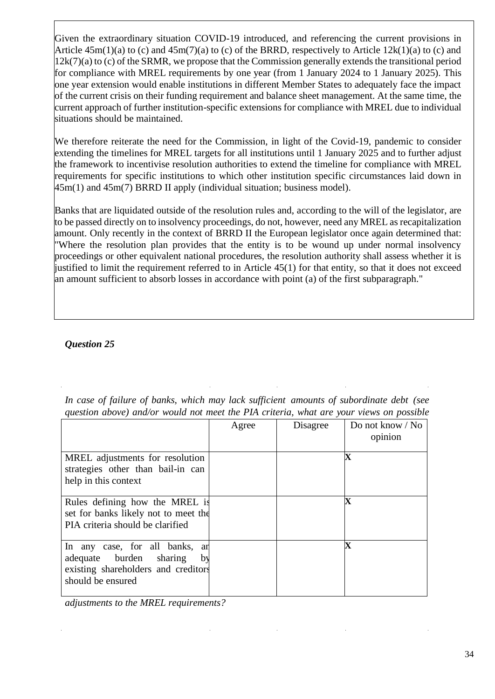Given the extraordinary situation COVID-19 introduced, and referencing the current provisions in Article  $45m(1)(a)$  to (c) and  $45m(7)(a)$  to (c) of the BRRD, respectively to Article  $12k(1)(a)$  to (c) and  $12k(7)(a)$  to (c) of the SRMR, we propose that the Commission generally extends the transitional period for compliance with MREL requirements by one year (from 1 January 2024 to 1 January 2025). This one year extension would enable institutions in different Member States to adequately face the impact of the current crisis on their funding requirement and balance sheet management. At the same time, the current approach of further institution-specific extensions for compliance with MREL due to individual situations should be maintained.

We therefore reiterate the need for the Commission, in light of the Covid-19, pandemic to consider extending the timelines for MREL targets for all institutions until 1 January 2025 and to further adjust the framework to incentivise resolution authorities to extend the timeline for compliance with MREL requirements for specific institutions to which other institution specific circumstances laid down in  $45m(1)$  and  $45m(7)$  BRRD II apply (individual situation; business model).

Banks that are liquidated outside of the resolution rules and, according to the will of the legislator, are to be passed directly on to insolvency proceedings, do not, however, need any MREL as recapitalization amount. Only recently in the context of BRRD II the European legislator once again determined that: "Where the resolution plan provides that the entity is to be wound up under normal insolvency proceedings or other equivalent national procedures, the resolution authority shall assess whether it is justified to limit the requirement referred to in Article 45(1) for that entity, so that it does not exceed an amount sufficient to absorb losses in accordance with point (a) of the first subparagraph."

# *Question 25*

| In case of failure of banks, which may lack sufficient amounts of subordinate debt (see |  |
|-----------------------------------------------------------------------------------------|--|
| question above) and/or would not meet the PIA criteria, what are your views on possible |  |

|                                                                                                                             | Agree | Disagree | Do not know / No<br>opinion |
|-----------------------------------------------------------------------------------------------------------------------------|-------|----------|-----------------------------|
| MREL adjustments for resolution<br>strategies other than bail-in can<br>help in this context                                |       |          | Х                           |
| Rules defining how the MREL is<br>set for banks likely not to meet the<br>PIA criteria should be clarified                  |       |          | $\mathbf X$                 |
| In any case, for all banks, an<br>adequate burden sharing<br>by<br>existing shareholders and creditors<br>should be ensured |       |          | $\mathbf X$                 |

*adjustments to the MREL requirements?*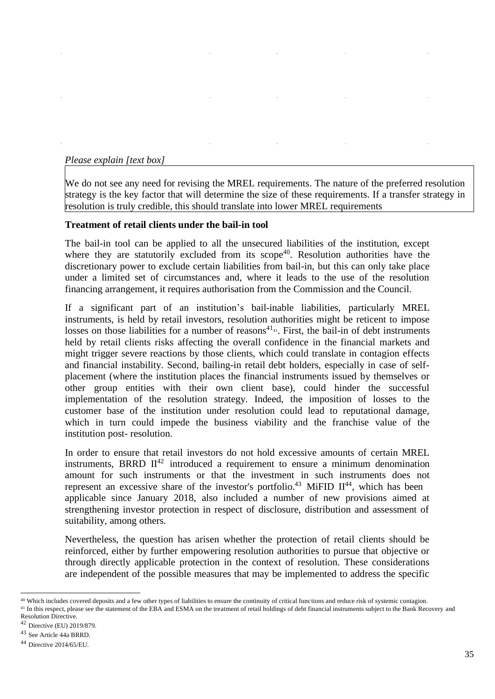#### *Please explain [text box]*

We do not see any need for revising the MREL requirements. The nature of the preferred resolution strategy is the key factor that will determine the size of these requirements. If a transfer strategy in resolution is truly credible, this should translate into lower MREL requirements

#### **Treatment of retail clients under the bail-in tool**

The bail-in tool can be applied to all the unsecured liabilities of the institution, except where they are statutorily excluded from its  $\text{scope}^{40}$ . Resolution authorities have the discretionary power to exclude certain liabilities from bail-in, but this can only take place under a limited set of circumstances and, where it leads to the use of the resolution financing arrangement, it requires authorisation from the Commission and the Council.

If a significant part of an institution's bail-inable liabilities, particularly MREL instruments, is held by retail investors, resolution authorities might be reticent to impose losses on those liabilities for a number of reasons $41_{41}$ . First, the bail-in of debt instruments held by retail clients risks affecting the overall confidence in the financial markets and might trigger severe reactions by those clients, which could translate in contagion effects and financial instability. Second, bailing-in retail debt holders, especially in case of selfplacement (where the institution places the financial instruments issued by themselves or other group entities with their own client base), could hinder the successful implementation of the resolution strategy. Indeed, the imposition of losses to the customer base of the institution under resolution could lead to reputational damage, which in turn could impede the business viability and the franchise value of the institution post- resolution.

In order to ensure that retail investors do not hold excessive amounts of certain MREL instruments, BRRD  $II^{42}$  introduced a requirement to ensure a minimum denomination amount for such instruments or that the investment in such instruments does not represent an excessive share of the investor's portfolio.<sup>43</sup> MiFID  $II^{44}$ , which has been applicable since January 2018, also included a number of new provisions aimed at strengthening investor protection in respect of disclosure, distribution and assessment of suitability, among others.

Nevertheless, the question has arisen whether the protection of retail clients should be reinforced, either by further empowering resolution authorities to pursue that objective or through directly applicable protection in the context of resolution. These considerations are independent of the possible measures that may be implemented to address the specific

<sup>&</sup>lt;sup>40</sup> Which includes covered deposits and a few other types of liabilities to ensure the continuity of critical functions and reduce risk of systemic contagion.

<sup>&</sup>lt;sup>41</sup> In this respect, please see the statement of the EBA and ESMA on the treatment of retail holdings of debt financial instruments subject to the Bank Recovery and Resolution Directive.

<sup>42</sup> Directive (EU) 2019/879.

<sup>43</sup> See Article 44a BRRD.

<sup>44</sup> Directive 2014/65/EU.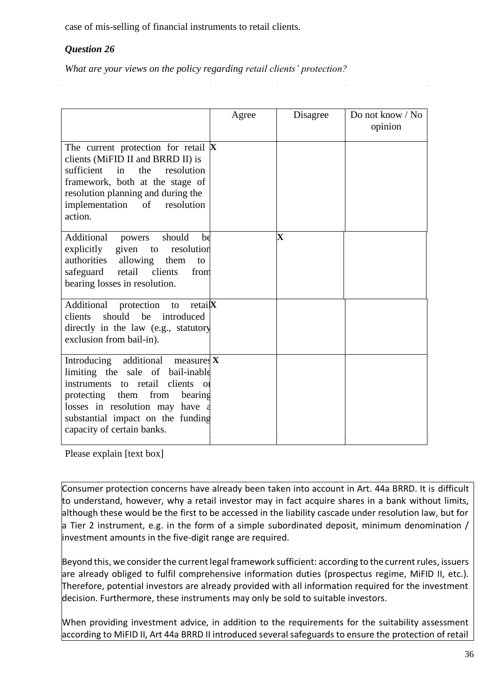case of mis-selling of financial instruments to retail clients.

## *Question 26*

*What are your views on the policy regarding retail clients' protection?* 

|                                                                                                                                                                                                                                                                | Agree | Disagree    | Do not know / No<br>opinion |
|----------------------------------------------------------------------------------------------------------------------------------------------------------------------------------------------------------------------------------------------------------------|-------|-------------|-----------------------------|
| The current protection for retail $\mathbf X$<br>clients (MiFID II and BRRD II) is<br>sufficient<br>in<br>the<br>resolution<br>framework, both at the stage of<br>resolution planning and during the<br>implementation<br>of resolution<br>action.             |       |             |                             |
| Additional powers<br>should<br>be<br>explicitly given to resolution<br>authorities allowing them<br>to<br>safeguard retail clients<br>from<br>bearing losses in resolution.                                                                                    |       | $\mathbf X$ |                             |
| Additional<br>protection<br>retai <b>X</b><br>to<br>should be introduced<br>clients<br>directly in the law (e.g., statutory<br>exclusion from bail-in).                                                                                                        |       |             |                             |
| Introducing additional measures $X$<br>limiting the sale of bail-inable<br>instruments to retail<br>clients<br>$\Omega$<br>protecting them from<br>bearing<br>losses in resolution may have<br>substantial impact on the funding<br>capacity of certain banks. |       |             |                             |

Please explain [text box]

Consumer protection concerns have already been taken into account in Art. 44a BRRD. It is difficult to understand, however, why a retail investor may in fact acquire shares in a bank without limits, although these would be the first to be accessed in the liability cascade under resolution law, but for a Tier 2 instrument, e.g. in the form of a simple subordinated deposit, minimum denomination / investment amounts in the five-digit range are required.

Beyond this, we consider the current legal framework sufficient: according to the current rules, issuers are already obliged to fulfil comprehensive information duties (prospectus regime, MiFID II, etc.). Therefore, potential investors are already provided with all information required for the investment decision. Furthermore, these instruments may only be sold to suitable investors.

When providing investment advice, in addition to the requirements for the suitability assessment according to MiFID II, Art 44a BRRD II introduced several safeguards to ensure the protection of retail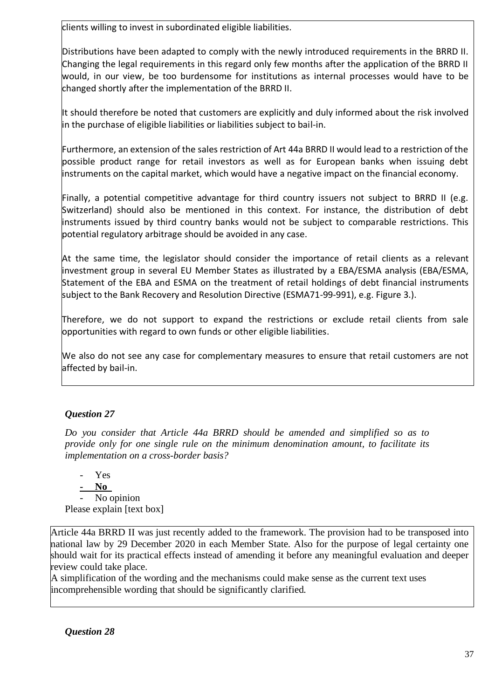clients willing to invest in subordinated eligible liabilities.

Distributions have been adapted to comply with the newly introduced requirements in the BRRD II. Changing the legal requirements in this regard only few months after the application of the BRRD II would, in our view, be too burdensome for institutions as internal processes would have to be changed shortly after the implementation of the BRRD II.

It should therefore be noted that customers are explicitly and duly informed about the risk involved in the purchase of eligible liabilities or liabilities subject to bail-in.

Furthermore, an extension of the sales restriction of Art 44a BRRD II would lead to a restriction of the possible product range for retail investors as well as for European banks when issuing debt instruments on the capital market, which would have a negative impact on the financial economy.

Finally, a potential competitive advantage for third country issuers not subject to BRRD II (e.g. Switzerland) should also be mentioned in this context. For instance, the distribution of debt instruments issued by third country banks would not be subject to comparable restrictions. This potential regulatory arbitrage should be avoided in any case.

At the same time, the legislator should consider the importance of retail clients as a relevant investment group in several EU Member States as illustrated by a EBA/ESMA analysis (EBA/ESMA, Statement of the EBA and ESMA on the treatment of retail holdings of debt financial instruments subject to the Bank Recovery and Resolution Directive (ESMA71-99-991), e.g. Figure 3.).

Therefore, we do not support to expand the restrictions or exclude retail clients from sale opportunities with regard to own funds or other eligible liabilities.

We also do not see any case for complementary measures to ensure that retail customers are not affected by bail-in.

# *Question 27*

*Do you consider that Article 44a BRRD should be amended and simplified so as to provide only for one single rule on the minimum denomination amount, to facilitate its implementation on a cross-border basis?* 

- Yes **- No**  No opinion Please explain [text box]

Article 44a BRRD II was just recently added to the framework. The provision had to be transposed into national law by 29 December 2020 in each Member State. Also for the purpose of legal certainty one should wait for its practical effects instead of amending it before any meaningful evaluation and deeper review could take place.

A simplification of the wording and the mechanisms could make sense as the current text uses incomprehensible wording that should be significantly clarified.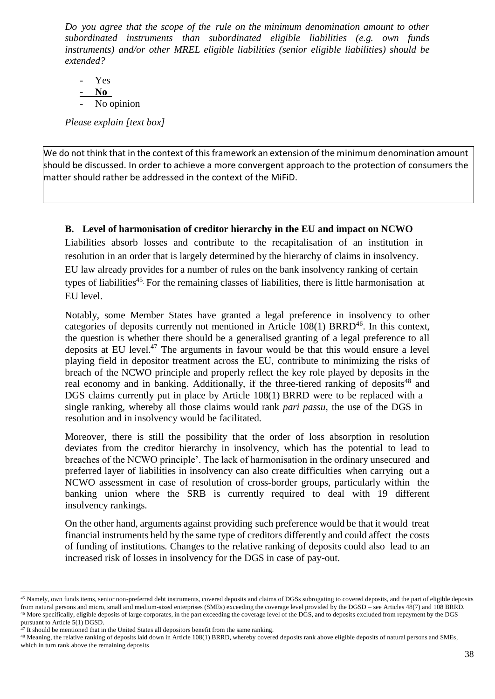*Do you agree that the scope of the rule on the minimum denomination amount to other subordinated instruments than subordinated eligible liabilities (e.g. own funds instruments) and/or other MREL eligible liabilities (senior eligible liabilities) should be extended?* 

- Yes - **No**  No opinion

*Please explain [text box]* 

We do not think that in the context of this framework an extension of the minimum denomination amount should be discussed. In order to achieve a more convergent approach to the protection of consumers the matter should rather be addressed in the context of the MiFiD.

# **B. Level of harmonisation of creditor hierarchy in the EU and impact on NCWO**

Liabilities absorb losses and contribute to the recapitalisation of an institution in resolution in an order that is largely determined by the hierarchy of claims in insolvency. EU law already provides for a number of rules on the bank insolvency ranking of certain types of liabilities<sup>45</sup>. For the remaining classes of liabilities, there is little harmonisation at EU level.

Notably, some Member States have granted a legal preference in insolvency to other categories of deposits currently not mentioned in Article  $108(1)$  BRRD<sup>46</sup>. In this context, the question is whether there should be a generalised granting of a legal preference to all deposits at EU level.<sup>47</sup> The arguments in favour would be that this would ensure a level playing field in depositor treatment across the EU, contribute to minimizing the risks of breach of the NCWO principle and properly reflect the key role played by deposits in the real economy and in banking. Additionally, if the three-tiered ranking of deposits<sup>48</sup> and DGS claims currently put in place by Article 108(1) BRRD were to be replaced with a single ranking, whereby all those claims would rank *pari passu*, the use of the DGS in resolution and in insolvency would be facilitated.

Moreover, there is still the possibility that the order of loss absorption in resolution deviates from the creditor hierarchy in insolvency, which has the potential to lead to breaches of the NCWO principle'. The lack of harmonisation in the ordinary unsecured and preferred layer of liabilities in insolvency can also create difficulties when carrying out a NCWO assessment in case of resolution of cross-border groups, particularly within the banking union where the SRB is currently required to deal with 19 different insolvency rankings.

On the other hand, arguments against providing such preference would be that it would treat financial instruments held by the same type of creditors differently and could affect the costs of funding of institutions. Changes to the relative ranking of deposits could also lead to an increased risk of losses in insolvency for the DGS in case of pay-out.

<sup>&</sup>lt;sup>45</sup> Namely, own funds items, senior non-preferred debt instruments, covered deposits and claims of DGSs subrogating to covered deposits, and the part of eligible deposits from natural persons and micro, small and medium-sized enterprises (SMEs) exceeding the coverage level provided by the DGSD – see Articles 48(7) and 108 BRRD. <sup>46</sup> More specifically, eligible deposits of large corporates, in the part exceeding the coverage level of the DGS, and to deposits excluded from repayment by the DGS pursuant to Article 5(1) DGSD.

<sup>&</sup>lt;sup>47</sup> It should be mentioned that in the United States all depositors benefit from the same ranking.

<sup>48</sup> Meaning, the relative ranking of deposits laid down in Article 108(1) BRRD, whereby covered deposits rank above eligible deposits of natural persons and SMEs, which in turn rank above the remaining deposits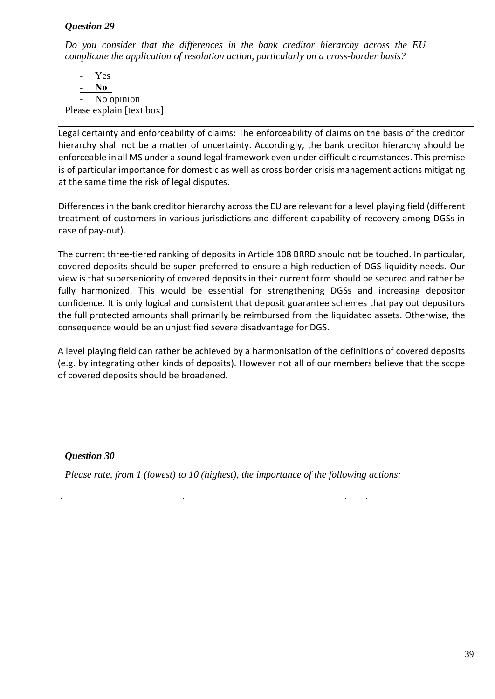#### *Question 29*

*Do you consider that the differences in the bank creditor hierarchy across the EU complicate the application of resolution action, particularly on a cross-border basis?* 

- Yes **- No**  No opinion Please explain [text box]

Legal certainty and enforceability of claims: The enforceability of claims on the basis of the creditor hierarchy shall not be a matter of uncertainty. Accordingly, the bank creditor hierarchy should be enforceable in all MS under a sound legal framework even under difficult circumstances. This premise is of particular importance for domestic as well as cross border crisis management actions mitigating at the same time the risk of legal disputes.

Differences in the bank creditor hierarchy across the EU are relevant for a level playing field (different treatment of customers in various jurisdictions and different capability of recovery among DGSs in case of pay-out).

The current three-tiered ranking of deposits in Article 108 BRRD should not be touched. In particular, covered deposits should be super-preferred to ensure a high reduction of DGS liquidity needs. Our view is that superseniority of covered deposits in their current form should be secured and rather be fully harmonized. This would be essential for strengthening DGSs and increasing depositor confidence. It is only logical and consistent that deposit guarantee schemes that pay out depositors the full protected amounts shall primarily be reimbursed from the liquidated assets. Otherwise, the consequence would be an unjustified severe disadvantage for DGS.

A level playing field can rather be achieved by a harmonisation of the definitions of covered deposits (e.g. by integrating other kinds of deposits). However not all of our members believe that the scope of covered deposits should be broadened.

## *Question 30*

*Please rate, from 1 (lowest) to 10 (highest), the importance of the following actions:*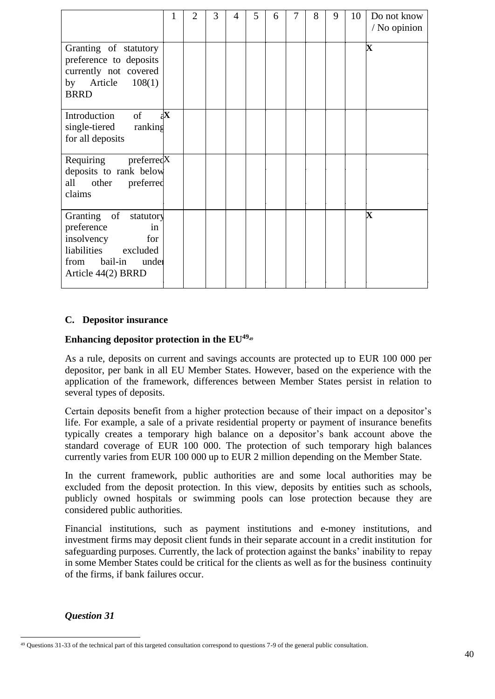|                                                                                                                                    |              | $\overline{2}$ | 3 | 4 | 5 | 6 | 7 | 8 | 9 | 10 | Do not know<br>/ No opinion |
|------------------------------------------------------------------------------------------------------------------------------------|--------------|----------------|---|---|---|---|---|---|---|----|-----------------------------|
| Granting of statutory<br>preference to deposits<br>currently not covered<br>by Article $108(1)$<br><b>BRRD</b>                     |              |                |   |   |   |   |   |   |   |    | $\mathbf X$                 |
| Introduction of<br>single-tiered ranking<br>for all deposits                                                                       | $\mathbf{X}$ |                |   |   |   |   |   |   |   |    |                             |
| Requiring preferredX<br>deposits to rank below<br>all other preferred<br>claims                                                    |              |                |   |   |   |   |   |   |   |    |                             |
| Granting of statutory<br>preference<br>in<br>for<br>insolvency<br>liabilities excluded<br>from bail-in under<br>Article 44(2) BRRD |              |                |   |   |   |   |   |   |   |    | $\overline{\mathbf{X}}$     |

#### **C. Depositor insurance**

## **Enhancing depositor protection in the EU<sup>49</sup>***<sup>49</sup>*

As a rule, deposits on current and savings accounts are protected up to EUR 100 000 per depositor, per bank in all EU Member States. However, based on the experience with the application of the framework, differences between Member States persist in relation to several types of deposits.

Certain deposits benefit from a higher protection because of their impact on a depositor's life. For example, a sale of a private residential property or payment of insurance benefits typically creates a temporary high balance on a depositor's bank account above the standard coverage of EUR 100 000. The protection of such temporary high balances currently varies from EUR 100 000 up to EUR 2 million depending on the Member State.

In the current framework, public authorities are and some local authorities may be excluded from the deposit protection. In this view, deposits by entities such as schools, publicly owned hospitals or swimming pools can lose protection because they are considered public authorities.

Financial institutions, such as payment institutions and e-money institutions, and investment firms may deposit client funds in their separate account in a credit institution for safeguarding purposes. Currently, the lack of protection against the banks' inability to repay in some Member States could be critical for the clients as well as for the business continuity of the firms, if bank failures occur.

## *Question 31*

<sup>49</sup> Questions 31-33 of the technical part of this targeted consultation correspond to questions 7-9 of the general public consultation.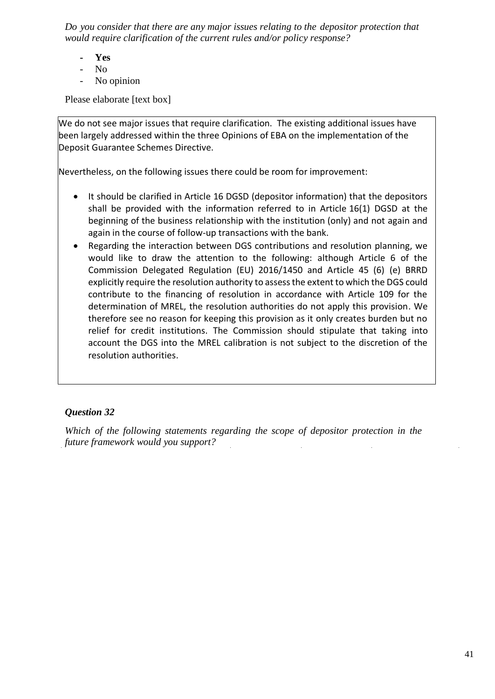*Do you consider that there are any major issues relating to the depositor protection that would require clarification of the current rules and/or policy response?* 

- **Yes**
- No
- No opinion

Please elaborate [text box]

We do not see major issues that require clarification. The existing additional issues have been largely addressed within the three Opinions of EBA on the implementation of the Deposit Guarantee Schemes Directive.

Nevertheless, on the following issues there could be room for improvement:

- It should be clarified in Article 16 DGSD (depositor information) that the depositors shall be provided with the information referred to in Article 16(1) DGSD at the beginning of the business relationship with the institution (only) and not again and again in the course of follow-up transactions with the bank.
- Regarding the interaction between DGS contributions and resolution planning, we would like to draw the attention to the following: although Article 6 of the Commission Delegated Regulation (EU) 2016/1450 and Article 45 (6) (e) BRRD explicitly require the resolution authority to assess the extent to which the DGS could contribute to the financing of resolution in accordance with Article 109 for the determination of MREL, the resolution authorities do not apply this provision. We therefore see no reason for keeping this provision as it only creates burden but no relief for credit institutions. The Commission should stipulate that taking into account the DGS into the MREL calibration is not subject to the discretion of the resolution authorities.

## *Question 32*

*Which of the following statements regarding the scope of depositor protection in the future framework would you support?*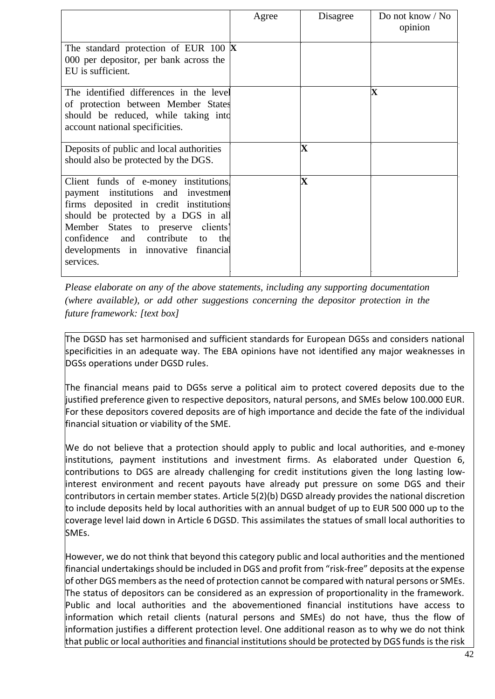|                                                                                                                                                                                                                                                                                                 | Agree | Disagree                | Do not know / No<br>opinion |
|-------------------------------------------------------------------------------------------------------------------------------------------------------------------------------------------------------------------------------------------------------------------------------------------------|-------|-------------------------|-----------------------------|
| The standard protection of EUR 100 $\bm{X}$<br>000 per depositor, per bank across the<br>EU is sufficient.                                                                                                                                                                                      |       |                         |                             |
| The identified differences in the level<br>of protection between Member States<br>should be reduced, while taking into<br>account national specificities.                                                                                                                                       |       |                         | $\overline{\mathbf{X}}$     |
| Deposits of public and local authorities<br>should also be protected by the DGS.                                                                                                                                                                                                                |       | $\overline{\mathbf{X}}$ |                             |
| Client funds of e-money institutions.<br>payment institutions and investment<br>firms deposited in credit institutions<br>should be protected by a DGS in all<br>Member States to preserve clients'<br>and contribute to the<br>confidence<br>developments in innovative financial<br>services. |       | $\mathbf X$             |                             |

*Please elaborate on any of the above statements, including any supporting documentation (where available), or add other suggestions concerning the depositor protection in the future framework: [text box]* 

The DGSD has set harmonised and sufficient standards for European DGSs and considers national specificities in an adequate way. The EBA opinions have not identified any major weaknesses in DGSs operations under DGSD rules.

The financial means paid to DGSs serve a political aim to protect covered deposits due to the justified preference given to respective depositors, natural persons, and SMEs below 100.000 EUR. For these depositors covered deposits are of high importance and decide the fate of the individual financial situation or viability of the SME.

We do not believe that a protection should apply to public and local authorities, and e-money institutions, payment institutions and investment firms. As elaborated under Question 6, contributions to DGS are already challenging for credit institutions given the long lasting lowinterest environment and recent payouts have already put pressure on some DGS and their contributors in certain member states. Article 5(2)(b) DGSD already provides the national discretion to include deposits held by local authorities with an annual budget of up to EUR 500 000 up to the coverage level laid down in Article 6 DGSD. This assimilates the statues of small local authorities to SMEs.

However, we do not think that beyond this category public and local authorities and the mentioned financial undertakings should be included in DGS and profit from "risk-free" deposits at the expense of other DGS members as the need of protection cannot be compared with natural persons or SMEs. The status of depositors can be considered as an expression of proportionality in the framework. Public and local authorities and the abovementioned financial institutions have access to information which retail clients (natural persons and SMEs) do not have, thus the flow of information justifies a different protection level. One additional reason as to why we do not think that public or local authorities and financial institutions should be protected by DGS funds is the risk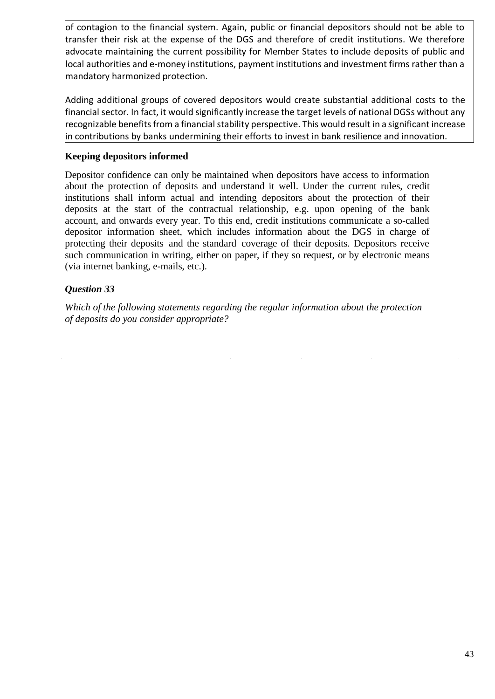of contagion to the financial system. Again, public or financial depositors should not be able to transfer their risk at the expense of the DGS and therefore of credit institutions. We therefore advocate maintaining the current possibility for Member States to include deposits of public and local authorities and e-money institutions, payment institutions and investment firms rather than a mandatory harmonized protection.

Adding additional groups of covered depositors would create substantial additional costs to the financial sector. In fact, it would significantly increase the target levels of national DGSs without any recognizable benefits from a financial stability perspective. This would result in a significant increase in contributions by banks undermining their efforts to invest in bank resilience and innovation.

## **Keeping depositors informed**

Depositor confidence can only be maintained when depositors have access to information about the protection of deposits and understand it well. Under the current rules, credit institutions shall inform actual and intending depositors about the protection of their deposits at the start of the contractual relationship, e.g. upon opening of the bank account, and onwards every year. To this end, credit institutions communicate a so-called depositor information sheet, which includes information about the DGS in charge of protecting their deposits and the standard coverage of their deposits. Depositors receive such communication in writing, either on paper, if they so request, or by electronic means (via internet banking, e-mails, etc.).

## *Question 33*

*Which of the following statements regarding the regular information about the protection of deposits do you consider appropriate?*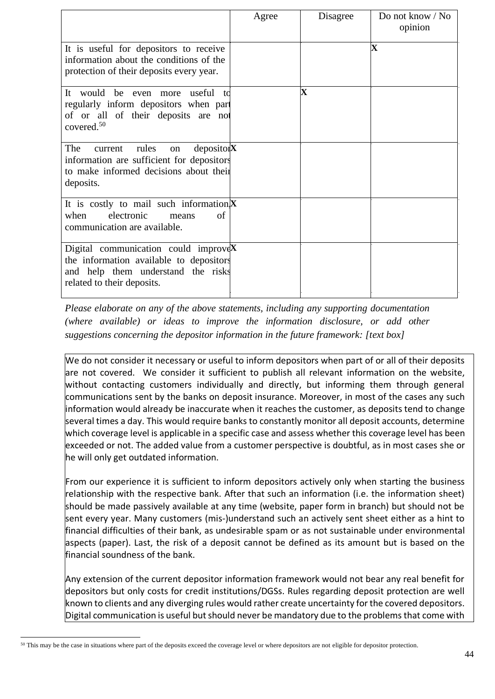|                                                                                                                                                                     | Agree | Disagree    | Do not know / No<br>opinion |
|---------------------------------------------------------------------------------------------------------------------------------------------------------------------|-------|-------------|-----------------------------|
| It is useful for depositors to receive<br>information about the conditions of the<br>protection of their deposits every year.                                       |       |             | $\mathbf X$                 |
| It would<br>useful<br>be<br>even more<br>t d<br>regularly inform depositors when part<br>of or all of their deposits are not<br>covered. $50$                       |       | $\mathbf X$ |                             |
| The<br>rules<br>deposito <sub>1</sub> <b>X</b><br>current<br>on<br>information are sufficient for depositors<br>to make informed decisions about their<br>deposits. |       |             |                             |
| It is costly to mail such information $X$<br>electronic<br>when<br>of<br>means<br>communication are available.                                                      |       |             |                             |
| Digital communication could improve $X$<br>the information available to depositors<br>and help them understand the risks<br>related to their deposits.              |       |             |                             |

*Please elaborate on any of the above statements, including any supporting documentation (where available) or ideas to improve the information disclosure, or add other suggestions concerning the depositor information in the future framework: [text box]* 

We do not consider it necessary or useful to inform depositors when part of or all of their deposits are not covered. We consider it sufficient to publish all relevant information on the website, without contacting customers individually and directly, but informing them through general communications sent by the banks on deposit insurance. Moreover, in most of the cases any such information would already be inaccurate when it reaches the customer, as deposits tend to change several times a day. This would require banks to constantly monitor all deposit accounts, determine which coverage level is applicable in a specific case and assess whether this coverage level has been exceeded or not. The added value from a customer perspective is doubtful, as in most cases she or he will only get outdated information.

From our experience it is sufficient to inform depositors actively only when starting the business relationship with the respective bank. After that such an information (i.e. the information sheet) should be made passively available at any time (website, paper form in branch) but should not be sent every year. Many customers (mis-)understand such an actively sent sheet either as a hint to financial difficulties of their bank, as undesirable spam or as not sustainable under environmental aspects (paper). Last, the risk of a deposit cannot be defined as its amount but is based on the financial soundness of the bank.

Any extension of the current depositor information framework would not bear any real benefit for depositors but only costs for credit institutions/DGSs. Rules regarding deposit protection are well known to clients and any diverging rules would rather create uncertainty for the covered depositors. Digital communication is useful but should never be mandatory due to the problems that come with

<sup>50</sup> This may be the case in situations where part of the deposits exceed the coverage level or where depositors are not eligible for depositor protection.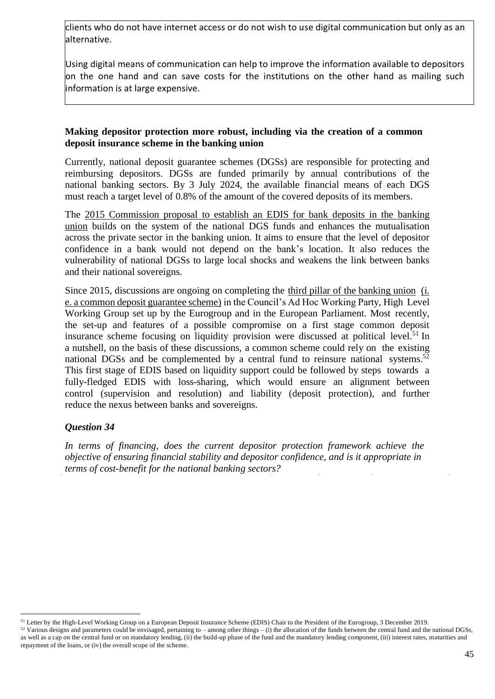clients who do not have internet access or do not wish to use digital communication but only as an alternative.

Using digital means of communication can help to improve the information available to depositors on the one hand and can save costs for the institutions on the other hand as mailing such information is at large expensive.

#### **Making depositor protection more robust, including via the creation of a common deposit insurance scheme in the banking union**

Currently, national deposit guarantee schemes (DGSs) are responsible for protecting and reimbursing depositors. DGSs are funded primarily by annual contributions of the national banking sectors. By 3 July 2024, the available financial means of each DGS must reach a target level of 0.8% of the amount of the covered deposits of its members.

The 2015 [Commission](https://ec.europa.eu/info/publications/commission-proposal-european-deposit-insurance-scheme-edis_en) proposal to establish an EDIS for bank deposits in the banking [union](https://ec.europa.eu/info/publications/commission-proposal-european-deposit-insurance-scheme-edis_en) builds on the system of the national DGS funds and enhances the mutualisation across the private sector in the banking union. It aims to ensure that the level of depositor confidence in a bank would not depend on the bank's location. It also reduces the vulnerability of national DGSs to large local shocks and weakens the link between banks and their national sovereigns.

Since 2015, discussions are ongoing on completing the [third pillar of the banking union \(i.](https://ec.europa.eu/info/business-economy-euro/banking-and-finance/banking-union/european-deposit-insurance-scheme_en)  [e. a common deposit guarantee scheme\)](https://ec.europa.eu/info/business-economy-euro/banking-and-finance/banking-union/european-deposit-insurance-scheme_en) in the Council's Ad Hoc Working Party, High Level Working Group set up by the Eurogroup and in the European Parliament. Most recently, the set-up and features of a possible compromise on a first stage common deposit insurance scheme focusing on liquidity provision were discussed at [political level.](https://www.consilium.europa.eu/media/41644/2019-12-03-letter-from-the-hlwg-chair-to-the-peg.pdf)<sup>51</sup> In a nutshell, on the basis of these discussions, a common scheme could rely on the existing national DGSs and be complemented by a central fund to reinsure national systems.<sup>52</sup> This first stage of EDIS based on liquidity support could be followed by steps towards a fully-fledged EDIS with loss-sharing, which would ensure an alignment between control (supervision and resolution) and liability (deposit protection), and further reduce the nexus between banks and sovereigns.

## *Question 34*

*In terms of financing, does the current depositor protection framework achieve the objective of ensuring financial stability and depositor confidence, and is it appropriate in terms of cost-benefit for the national banking sectors?* 

<sup>51</sup> Letter by the High-Level Working Group on a European Deposit Insurance Scheme (EDIS) Chair to the President of the Eurogroup, 3 December 2019.

 $52$  Various designs and parameters could be envisaged, pertaining to – among other things – (i) the allocation of the funds between the central fund and the national DGSs, as well as a cap on the central fund or on mandatory lending, (ii) the build-up phase of the fund and the mandatory lending component, (iii) interest rates, maturities and repayment of the loans, or (iv) the overall scope of the scheme.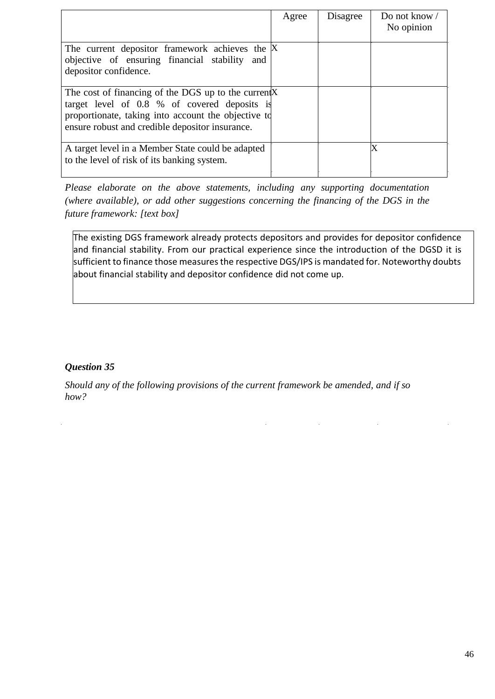|                                                                                                                                                                                                                | Agree | Disagree | Do not know $\sqrt{ }$<br>No opinion |
|----------------------------------------------------------------------------------------------------------------------------------------------------------------------------------------------------------------|-------|----------|--------------------------------------|
| The current depositor framework achieves the X<br>objective of ensuring financial stability and<br>depositor confidence.                                                                                       |       |          |                                      |
| The cost of financing of the DGS up to the current X<br>target level of 0.8 % of covered deposits is<br>proportionate, taking into account the objective to<br>ensure robust and credible depositor insurance. |       |          |                                      |
| A target level in a Member State could be adapted<br>to the level of risk of its banking system.                                                                                                               |       |          | X                                    |

*Please elaborate on the above statements, including any supporting documentation (where available), or add other suggestions concerning the financing of the DGS in the future framework: [text box]* 

The existing DGS framework already protects depositors and provides for depositor confidence and financial stability. From our practical experience since the introduction of the DGSD it is sufficient to finance those measures the respective DGS/IPS is mandated for. Noteworthy doubts about financial stability and depositor confidence did not come up.

## *Question 35*

l,

*Should any of the following provisions of the current framework be amended, and if so how?*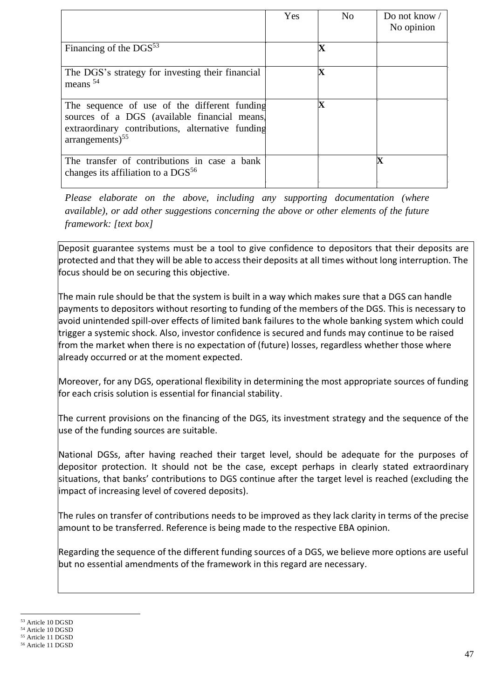|                                                                                                                                                                                   | Yes | No                      | Do not know $\sqrt{ }$<br>No opinion |
|-----------------------------------------------------------------------------------------------------------------------------------------------------------------------------------|-----|-------------------------|--------------------------------------|
| Financing of the $DGS^{53}$                                                                                                                                                       |     | $\overline{\mathbf{X}}$ |                                      |
| The DGS's strategy for investing their financial<br>means $54$                                                                                                                    |     | $\overline{\mathbf{X}}$ |                                      |
| The sequence of use of the different funding<br>sources of a DGS (available financial means)<br>extraordinary contributions, alternative funding<br>$arrangements)$ <sup>55</sup> |     | $\overline{\textbf{X}}$ |                                      |
| The transfer of contributions in case a bank<br>changes its affiliation to a $DGS^{56}$                                                                                           |     |                         | $\mathbf X$                          |

*Please elaborate on the above, including any supporting documentation (where available), or add other suggestions concerning the above or other elements of the future framework: [text box]* 

Deposit guarantee systems must be a tool to give confidence to depositors that their deposits are protected and that they will be able to access their deposits at all times without long interruption. The focus should be on securing this objective.

The main rule should be that the system is built in a way which makes sure that a DGS can handle payments to depositors without resorting to funding of the members of the DGS. This is necessary to avoid unintended spill-over effects of limited bank failures to the whole banking system which could trigger a systemic shock. Also, investor confidence is secured and funds may continue to be raised from the market when there is no expectation of (future) losses, regardless whether those where already occurred or at the moment expected.

Moreover, for any DGS, operational flexibility in determining the most appropriate sources of funding for each crisis solution is essential for financial stability.

The current provisions on the financing of the DGS, its investment strategy and the sequence of the use of the funding sources are suitable.

National DGSs, after having reached their target level, should be adequate for the purposes of depositor protection. It should not be the case, except perhaps in clearly stated extraordinary situations, that banks' contributions to DGS continue after the target level is reached (excluding the impact of increasing level of covered deposits).

The rules on transfer of contributions needs to be improved as they lack clarity in terms of the precise amount to be transferred. Reference is being made to the respective EBA opinion.

Regarding the sequence of the different funding sources of a DGS, we believe more options are useful but no essential amendments of the framework in this regard are necessary.

<sup>53</sup> Article 10 DGSD

<sup>54</sup> Article 10 DGSD

<sup>55</sup> Article 11 DGSD <sup>56</sup> Article 11 DGSD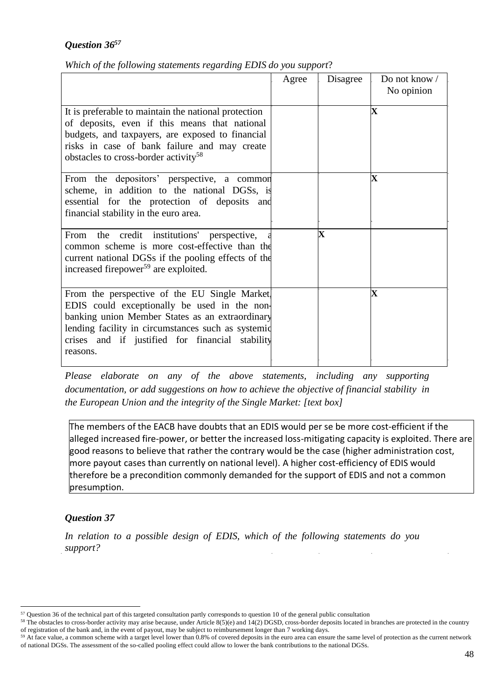# *Question 36 57*

|  |  | Which of the following statements regarding EDIS do you support? |
|--|--|------------------------------------------------------------------|

|                                                                                                                                                                                                                                                                       | Agree | Disagree                | Do not know /<br>No opinion |
|-----------------------------------------------------------------------------------------------------------------------------------------------------------------------------------------------------------------------------------------------------------------------|-------|-------------------------|-----------------------------|
| It is preferable to maintain the national protection<br>of deposits, even if this means that national<br>budgets, and taxpayers, are exposed to financial<br>risks in case of bank failure and may create<br>obstacles to cross-border activity <sup>58</sup>         |       |                         | $\mathbf X$                 |
| From the depositors' perspective, a common<br>scheme, in addition to the national DGSs, is<br>essential for the protection of deposits and<br>financial stability in the euro area.                                                                                   |       |                         | $\mathbf X$                 |
| From the credit institutions' perspective,<br>common scheme is more cost-effective than the<br>current national DGSs if the pooling effects of the<br>increased firepower <sup>59</sup> are exploited.                                                                |       | $\overline{\mathbf{X}}$ |                             |
| From the perspective of the EU Single Market,<br>EDIS could exceptionally be used in the non-<br>banking union Member States as an extraordinary<br>lending facility in circumstances such as systemic<br>crises and if justified for financial stability<br>reasons. |       |                         | $\overline{\mathbf{X}}$     |

*Please elaborate on any of the above statements, including any supporting documentation, or add suggestions on how to achieve the objective of financial stability in the European Union and the integrity of the Single Market: [text box]* 

The members of the EACB have doubts that an EDIS would per se be more cost-efficient if the alleged increased fire-power, or better the increased loss-mitigating capacity is exploited. There are good reasons to believe that rather the contrary would be the case (higher administration cost, more payout cases than currently on national level). A higher cost-efficiency of EDIS would therefore be a precondition commonly demanded for the support of EDIS and not a common presumption.

# *Question 37*

*In relation to a possible design of EDIS, which of the following statements do you support?* 

<sup>57</sup> Question 36 of the technical part of this targeted consultation partly corresponds to question 10 of the general public consultation

<sup>&</sup>lt;sup>58</sup> The obstacles to cross-border activity may arise because, under Article 8(5)(e) and 14(2) DGSD, cross-border deposits located in branches are protected in the country of registration of the bank and, in the event of payout, may be subject to reimbursement longer than 7 working days.

<sup>&</sup>lt;sup>59</sup> At face value, a common scheme with a target level lower than 0.8% of covered deposits in the euro area can ensure the same level of protection as the current network of national DGSs. The assessment of the so-called pooling effect could allow to lower the bank contributions to the national DGSs.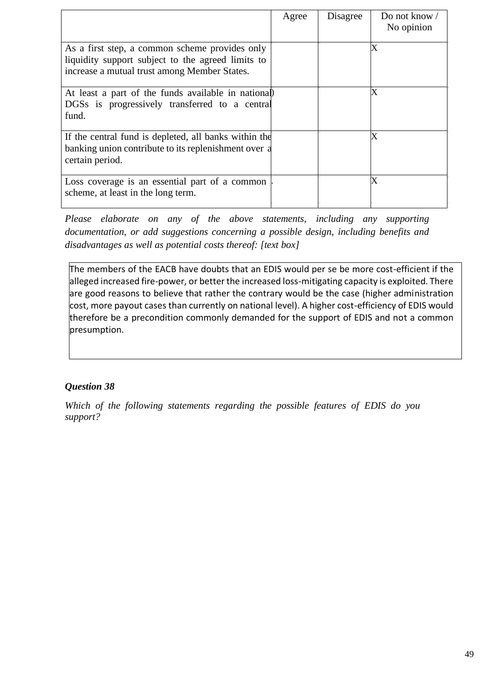|                                                                                                                                                     | Agree | Disagree | Do not know /<br>No opinion |
|-----------------------------------------------------------------------------------------------------------------------------------------------------|-------|----------|-----------------------------|
| As a first step, a common scheme provides only<br>liquidity support subject to the agreed limits to<br>increase a mutual trust among Member States. |       |          | X                           |
| At least a part of the funds available in national<br>DGSs is progressively transferred to a central<br>fund.                                       |       |          | Х                           |
| If the central fund is depleted, all banks within the<br>banking union contribute to its replenishment over a<br>certain period.                    |       |          | X                           |
| Loss coverage is an essential part of a common<br>scheme, at least in the long term.                                                                |       |          | X                           |

*Please elaborate on any of the above statements, including any supporting documentation, or add suggestions concerning a possible design, including benefits and disadvantages as well as potential costs thereof: [text box]* 

The members of the EACB have doubts that an EDIS would per se be more cost-efficient if the alleged increased fire-power, or better the increased loss-mitigating capacity is exploited. There are good reasons to believe that rather the contrary would be the case (higher administration cost, more payout cases than currently on national level). A higher cost-efficiency of EDIS would therefore be a precondition commonly demanded for the support of EDIS and not a common presumption.

# *Question 38*

*Which of the following statements regarding the possible features of EDIS do you support?*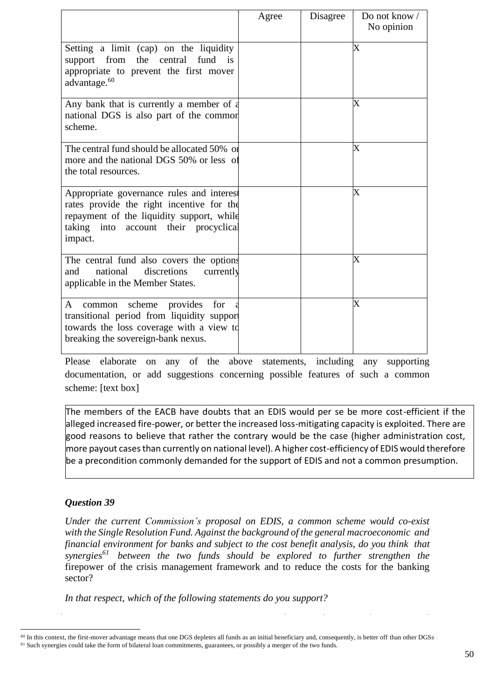|                                                                                                                                                                                         | Agree | Disagree | Do not know /<br>No opinion |
|-----------------------------------------------------------------------------------------------------------------------------------------------------------------------------------------|-------|----------|-----------------------------|
| Setting a limit (cap) on the liquidity<br>from<br>the central<br>fund<br>is<br>support<br>appropriate to prevent the first mover<br>advantage. <sup>60</sup>                            |       |          | Х                           |
| Any bank that is currently a member of a<br>national DGS is also part of the common<br>scheme.                                                                                          |       |          | X                           |
| The central fund should be allocated 50% or<br>more and the national DGS 50% or less of<br>the total resources.                                                                         |       |          | $\overline{\text{X}}$       |
| Appropriate governance rules and interest<br>rates provide the right incentive for the<br>repayment of the liquidity support, while<br>taking into account their procyclical<br>impact. |       |          | X                           |
| The central fund also covers the options<br>national<br>discretions<br>and<br>currently<br>applicable in the Member States.                                                             |       |          | $\rm\overline{X}$           |
| scheme<br>provides<br>A<br>for<br>common<br>transitional period from liquidity support<br>towards the loss coverage with a view to<br>breaking the sovereign-bank nexus.                |       |          | X                           |

Please elaborate on any of the above statements, including any supporting documentation, or add suggestions concerning possible features of such a common scheme: [text box]

The members of the EACB have doubts that an EDIS would per se be more cost-efficient if the alleged increased fire-power, or better the increased loss-mitigating capacity is exploited. There are good reasons to believe that rather the contrary would be the case (higher administration cost, more payout cases than currently on national level). A higher cost-efficiency of EDIS would therefore be a precondition commonly demanded for the support of EDIS and not a common presumption.

## *Question 39*

*Under the current Commission's proposal on EDIS, a common scheme would co-exist with the Single Resolution Fund. Against the background of the general macroeconomic and financial environment for banks and subject to the cost benefit analysis, do you think that synergies<sup>61</sup> between the two funds should be explored to further strengthen the* firepower of the crisis management framework and to reduce the costs for the banking sector?

*In that respect, which of the following statements do you support?* 

<sup>60</sup> In this context, the first-mover advantage means that one DGS depletes all funds as an initial beneficiary and, consequently, is better off than other DGSs <sup>61</sup> Such synergies could take the form of bilateral loan commitments, guarantees, or possibly a merger of the two funds.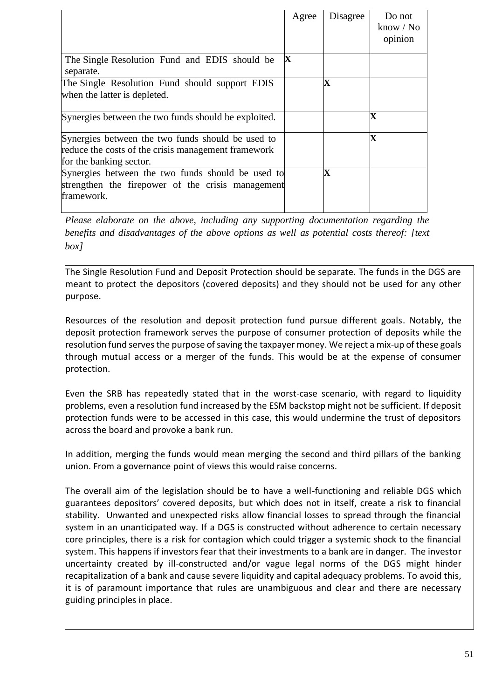|                                                                                                                                     | Agree | Disagree    | Do not<br>$\text{know } / \text{No}$<br>opinion |
|-------------------------------------------------------------------------------------------------------------------------------------|-------|-------------|-------------------------------------------------|
| The Single Resolution Fund and EDIS should be<br>separate.                                                                          | X     |             |                                                 |
| The Single Resolution Fund should support EDIS<br>when the latter is depleted.                                                      |       | $\bf{X}$    |                                                 |
| Synergies between the two funds should be exploited.                                                                                |       |             | X                                               |
| Synergies between the two funds should be used to<br>reduce the costs of the crisis management framework<br>for the banking sector. |       |             | X                                               |
| Synergies between the two funds should be used to<br>strengthen the firepower of the crisis management<br>framework.                |       | $\mathbf X$ |                                                 |

*Please elaborate on the above, including any supporting documentation regarding the benefits and disadvantages of the above options as well as potential costs thereof: [text box]* 

The Single Resolution Fund and Deposit Protection should be separate. The funds in the DGS are meant to protect the depositors (covered deposits) and they should not be used for any other purpose.

Resources of the resolution and deposit protection fund pursue different goals. Notably, the deposit protection framework serves the purpose of consumer protection of deposits while the resolution fund serves the purpose of saving the taxpayer money. We reject a mix-up of these goals through mutual access or a merger of the funds. This would be at the expense of consumer protection.

Even the SRB has repeatedly stated that in the worst-case scenario, with regard to liquidity problems, even a resolution fund increased by the ESM backstop might not be sufficient. If deposit protection funds were to be accessed in this case, this would undermine the trust of depositors across the board and provoke a bank run.

In addition, merging the funds would mean merging the second and third pillars of the banking union. From a governance point of views this would raise concerns.

The overall aim of the legislation should be to have a well-functioning and reliable DGS which guarantees depositors' covered deposits, but which does not in itself, create a risk to financial stability. Unwanted and unexpected risks allow financial losses to spread through the financial system in an unanticipated way. If a DGS is constructed without adherence to certain necessary core principles, there is a risk for contagion which could trigger a systemic shock to the financial system. This happens if investors fear that their investments to a bank are in danger. The investor uncertainty created by ill-constructed and/or vague legal norms of the DGS might hinder recapitalization of a bank and cause severe liquidity and capital adequacy problems. To avoid this, it is of paramount importance that rules are unambiguous and clear and there are necessary guiding principles in place.